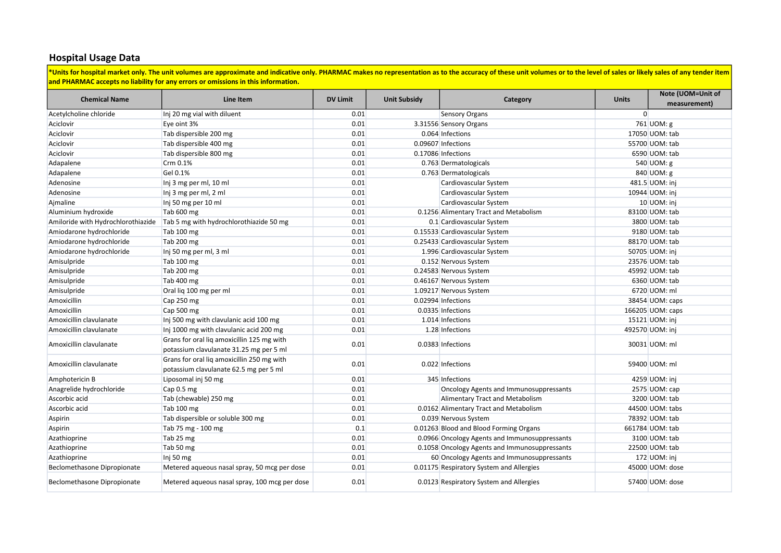## Hospital Usage Data

\*Units for hospital market only. The unit volumes are approximate and indicative only. PHARMAC makes no representation as to the accuracy of these unit volumes or to the level of sales or likely sales of any tender item and PHARMAC accepts no liability for any errors or omissions in this information.

| <b>Chemical Name</b>               | Line Item                                     | <b>DV Limit</b> | <b>Unit Subsidy</b> | Category                                      | <b>Units</b>   | Note (UOM=Unit of |
|------------------------------------|-----------------------------------------------|-----------------|---------------------|-----------------------------------------------|----------------|-------------------|
|                                    |                                               |                 |                     |                                               |                | measurement)      |
| Acetylcholine chloride             | Inj 20 mg vial with diluent                   | 0.01            |                     | <b>Sensory Organs</b>                         | $\overline{0}$ |                   |
| Aciclovir                          | Eye oint 3%                                   | 0.01            |                     | 3.31556 Sensory Organs                        |                | 761 UOM: g        |
| Aciclovir                          | Tab dispersible 200 mg                        | 0.01            |                     | 0.064 Infections                              |                | 17050 UOM: tab    |
| Aciclovir                          | Tab dispersible 400 mg                        | 0.01            |                     | 0.09607 Infections                            |                | 55700 UOM: tab    |
| Aciclovir                          | Tab dispersible 800 mg                        | 0.01            |                     | 0.17086 Infections                            |                | 6590 UOM: tab     |
| Adapalene                          | Crm 0.1%                                      | 0.01            |                     | 0.763 Dermatologicals                         |                | 540 UOM: g        |
| Adapalene                          | Gel 0.1%                                      | 0.01            |                     | 0.763 Dermatologicals                         |                | 840 UOM: g        |
| Adenosine                          | Inj 3 mg per ml, 10 ml                        | 0.01            |                     | Cardiovascular System                         |                | 481.5 UOM: inj    |
| Adenosine                          | Inj 3 mg per ml, 2 ml                         | 0.01            |                     | Cardiovascular System                         |                | 10944 UOM: inj    |
| Ajmaline                           | Inj 50 mg per 10 ml                           | 0.01            |                     | Cardiovascular System                         |                | 10 UOM: inj       |
| Aluminium hydroxide                | Tab 600 mg                                    | 0.01            |                     | 0.1256 Alimentary Tract and Metabolism        |                | 83100 UOM: tab    |
| Amiloride with Hydrochlorothiazide | Tab 5 mg with hydrochlorothiazide 50 mg       | 0.01            |                     | 0.1 Cardiovascular System                     |                | 3800 UOM: tab     |
| Amiodarone hydrochloride           | Tab 100 mg                                    | 0.01            |                     | 0.15533 Cardiovascular System                 |                | 9180 UOM: tab     |
| Amiodarone hydrochloride           | Tab 200 mg                                    | 0.01            |                     | 0.25433 Cardiovascular System                 |                | 88170 UOM: tab    |
| Amiodarone hydrochloride           | Inj 50 mg per ml, 3 ml                        | 0.01            |                     | 1.996 Cardiovascular System                   |                | 50705 UOM: inj    |
| Amisulpride                        | Tab 100 mg                                    | 0.01            |                     | 0.152 Nervous System                          |                | 23576 UOM: tab    |
| Amisulpride                        | Tab 200 mg                                    | 0.01            |                     | 0.24583 Nervous System                        |                | 45992 UOM: tab    |
| Amisulpride                        | Tab 400 mg                                    | 0.01            |                     | 0.46167 Nervous System                        |                | 6360 UOM: tab     |
| Amisulpride                        | Oral lig 100 mg per ml                        | 0.01            |                     | 1.09217 Nervous System                        |                | 6720 UOM: ml      |
| Amoxicillin                        | Cap 250 mg                                    | 0.01            |                     | 0.02994 Infections                            |                | 38454 UOM: caps   |
| Amoxicillin                        | Cap 500 mg                                    | 0.01            |                     | 0.0335 Infections                             |                | 166205 UOM: caps  |
| Amoxicillin clavulanate            | Inj 500 mg with clavulanic acid 100 mg        | 0.01            |                     | 1.014 Infections                              |                | 15121 UOM: inj    |
| Amoxicillin clavulanate            | Inj 1000 mg with clavulanic acid 200 mg       | 0.01            |                     | 1.28 Infections                               |                | 492570 UOM: inj   |
| Amoxicillin clavulanate            | Grans for oral lig amoxicillin 125 mg with    | 0.01            |                     | 0.0383 Infections                             |                | 30031 UOM: ml     |
|                                    | potassium clavulanate 31.25 mg per 5 ml       |                 |                     |                                               |                |                   |
| Amoxicillin clavulanate            | Grans for oral lig amoxicillin 250 mg with    | 0.01            |                     | 0.022 Infections                              |                | 59400 UOM: ml     |
|                                    | potassium clavulanate 62.5 mg per 5 ml        |                 |                     |                                               |                |                   |
| Amphotericin B                     | Liposomal inj 50 mg                           | 0.01            |                     | 345 Infections                                |                | 4259 UOM: inj     |
| Anagrelide hydrochloride           | Cap 0.5 mg                                    | 0.01            |                     | Oncology Agents and Immunosuppressants        |                | 2575 UOM: cap     |
| Ascorbic acid                      | Tab (chewable) 250 mg                         | 0.01            |                     | Alimentary Tract and Metabolism               |                | 3200 UOM: tab     |
| Ascorbic acid                      | Tab 100 mg                                    | 0.01            |                     | 0.0162 Alimentary Tract and Metabolism        |                | 44500 UOM: tabs   |
| Aspirin                            | Tab dispersible or soluble 300 mg             | 0.01            |                     | 0.039 Nervous System                          |                | 78392 UOM: tab    |
| Aspirin                            | Tab 75 mg - 100 mg                            | 0.1             |                     | 0.01263 Blood and Blood Forming Organs        |                | 661784 UOM: tab   |
| Azathioprine                       | Tab 25 mg                                     | 0.01            |                     | 0.0966 Oncology Agents and Immunosuppressants |                | 3100 UOM: tab     |
| Azathioprine                       | Tab 50 mg                                     | 0.01            |                     | 0.1058 Oncology Agents and Immunosuppressants |                | 22500 UOM: tab    |
| Azathioprine                       | Inj 50 mg                                     | 0.01            |                     | 60 Oncology Agents and Immunosuppressants     |                | 172 UOM: inj      |
| Beclomethasone Dipropionate        | Metered aqueous nasal spray, 50 mcg per dose  | 0.01            |                     | 0.01175 Respiratory System and Allergies      |                | 45000 UOM: dose   |
| Beclomethasone Dipropionate        | Metered aqueous nasal spray, 100 mcg per dose | 0.01            |                     | 0.0123 Respiratory System and Allergies       |                | 57400 UOM: dose   |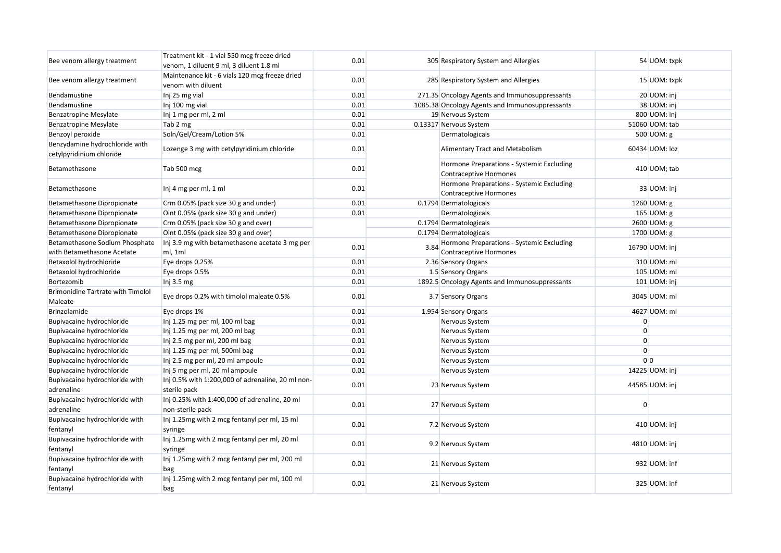| Bee venom allergy treatment                                  | Treatment kit - 1 vial 550 mcg freeze dried<br>venom, 1 diluent 9 ml, 3 diluent 1.8 ml | 0.01 |      | 305 Respiratory System and Allergies                                       |                | 54 UOM: txpk   |
|--------------------------------------------------------------|----------------------------------------------------------------------------------------|------|------|----------------------------------------------------------------------------|----------------|----------------|
| Bee venom allergy treatment                                  | Maintenance kit - 6 vials 120 mcg freeze dried<br>venom with diluent                   | 0.01 |      | 285 Respiratory System and Allergies                                       |                | 15 UOM: txpk   |
| Bendamustine                                                 | Inj 25 mg vial                                                                         | 0.01 |      | 271.35 Oncology Agents and Immunosuppressants                              |                | 20 UOM: inj    |
| Bendamustine                                                 | Inj 100 mg vial                                                                        | 0.01 |      | 1085.38 Oncology Agents and Immunosuppressants                             |                | 38 UOM: inj    |
| <b>Benzatropine Mesylate</b>                                 | Inj 1 mg per ml, 2 ml                                                                  | 0.01 |      | 19 Nervous System                                                          |                | 800 UOM: inj   |
| <b>Benzatropine Mesylate</b>                                 | Tab 2 mg                                                                               | 0.01 |      | 0.13317 Nervous System                                                     |                | 51060 UOM: tab |
| Benzoyl peroxide                                             | Soln/Gel/Cream/Lotion 5%                                                               | 0.01 |      | Dermatologicals                                                            |                | 500 UOM: g     |
| Benzydamine hydrochloride with<br>cetylpyridinium chloride   | Lozenge 3 mg with cetylpyridinium chloride                                             | 0.01 |      | Alimentary Tract and Metabolism                                            |                | 60434 UOM: loz |
| Betamethasone                                                | Tab 500 mcg                                                                            | 0.01 |      | Hormone Preparations - Systemic Excluding<br>Contraceptive Hormones        |                | 410 UOM; tab   |
| Betamethasone                                                | Inj 4 mg per ml, 1 ml                                                                  | 0.01 |      | Hormone Preparations - Systemic Excluding<br><b>Contraceptive Hormones</b> |                | 33 UOM: inj    |
| Betamethasone Dipropionate                                   | Crm 0.05% (pack size 30 g and under)                                                   | 0.01 |      | 0.1794 Dermatologicals                                                     |                | 1260 UOM: g    |
| Betamethasone Dipropionate                                   | Oint 0.05% (pack size 30 g and under)                                                  | 0.01 |      | Dermatologicals                                                            |                | 165 UOM: g     |
| Betamethasone Dipropionate                                   | Crm 0.05% (pack size 30 g and over)                                                    |      |      | 0.1794 Dermatologicals                                                     |                | 2600 UOM: g    |
| Betamethasone Dipropionate                                   | Oint 0.05% (pack size 30 g and over)                                                   |      |      | 0.1794 Dermatologicals                                                     |                | 1700 UOM: g    |
| Betamethasone Sodium Phosphate<br>with Betamethasone Acetate | Inj 3.9 mg with betamethasone acetate 3 mg per<br>ml, 1ml                              | 0.01 | 3.84 | Hormone Preparations - Systemic Excluding<br><b>Contraceptive Hormones</b> |                | 16790 UOM: inj |
| Betaxolol hydrochloride                                      | Eye drops 0.25%                                                                        | 0.01 |      | 2.36 Sensory Organs                                                        |                | 310 UOM: ml    |
| Betaxolol hydrochloride                                      | Eye drops 0.5%                                                                         | 0.01 |      | 1.5 Sensory Organs                                                         |                | 105 UOM: ml    |
| Bortezomib                                                   | Inj $3.5 \text{ mg}$                                                                   | 0.01 |      | 1892.5 Oncology Agents and Immunosuppressants                              |                | 101 UOM: inj   |
| <b>Brimonidine Tartrate with Timolol</b><br>Maleate          | Eye drops 0.2% with timolol maleate 0.5%                                               | 0.01 |      | 3.7 Sensory Organs                                                         |                | 3045 UOM: ml   |
| Brinzolamide                                                 | Eye drops 1%                                                                           | 0.01 |      | 1.954 Sensory Organs                                                       |                | 4627 UOM: ml   |
| Bupivacaine hydrochloride                                    | Inj 1.25 mg per ml, 100 ml bag                                                         | 0.01 |      | Nervous System                                                             | $\overline{0}$ |                |
| Bupivacaine hydrochloride                                    | Inj 1.25 mg per ml, 200 ml bag                                                         | 0.01 |      | Nervous System                                                             | $\overline{0}$ |                |
| Bupivacaine hydrochloride                                    | Inj 2.5 mg per ml, 200 ml bag                                                          | 0.01 |      | Nervous System                                                             | $\Omega$       |                |
| Bupivacaine hydrochloride                                    | Inj 1.25 mg per ml, 500ml bag                                                          | 0.01 |      | Nervous System                                                             | $\overline{0}$ |                |
| Bupivacaine hydrochloride                                    | Inj 2.5 mg per ml, 20 ml ampoule                                                       | 0.01 |      | Nervous System                                                             |                | 0 <sup>0</sup> |
| Bupivacaine hydrochloride                                    | Inj 5 mg per ml, 20 ml ampoule                                                         | 0.01 |      | Nervous System                                                             |                | 14225 UOM: inj |
| Bupivacaine hydrochloride with<br>adrenaline                 | Inj 0.5% with 1:200,000 of adrenaline, 20 ml non-<br>sterile pack                      | 0.01 |      | 23 Nervous System                                                          |                | 44585 UOM: inj |
| Bupivacaine hydrochloride with<br>adrenaline                 | Inj 0.25% with 1:400,000 of adrenaline, 20 ml<br>non-sterile pack                      | 0.01 |      | 27 Nervous System                                                          | $\Omega$       |                |
| Bupivacaine hydrochloride with<br>fentanyl                   | Inj 1.25mg with 2 mcg fentanyl per ml, 15 ml<br>syringe                                | 0.01 |      | 7.2 Nervous System                                                         |                | 410 UOM: inj   |
| Bupivacaine hydrochloride with<br>fentanyl                   | Inj 1.25mg with 2 mcg fentanyl per ml, 20 ml<br>syringe                                | 0.01 |      | 9.2 Nervous System                                                         |                | 4810 UOM: inj  |
| Bupivacaine hydrochloride with<br>fentanyl                   | Inj 1.25mg with 2 mcg fentanyl per ml, 200 ml<br>bag                                   | 0.01 |      | 21 Nervous System                                                          |                | 932 UOM: inf   |
| Bupivacaine hydrochloride with<br>fentanyl                   | Inj 1.25mg with 2 mcg fentanyl per ml, 100 ml<br>bag                                   | 0.01 |      | 21 Nervous System                                                          |                | 325 UOM: inf   |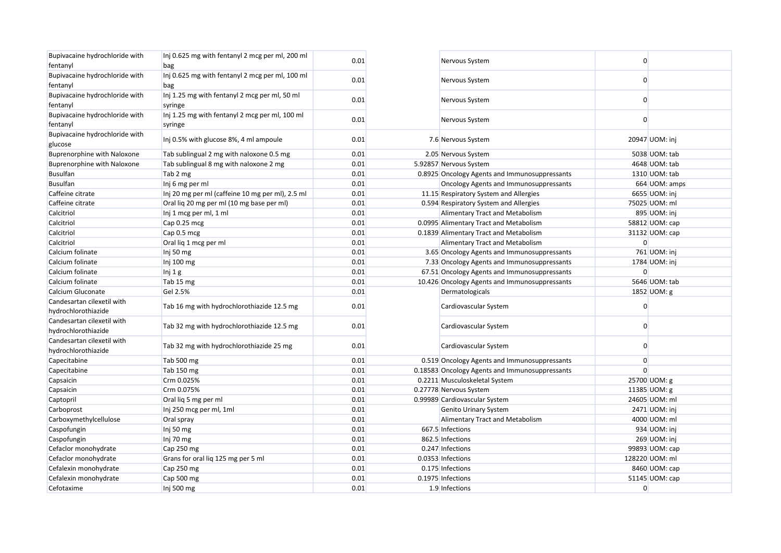| Bupivacaine hydrochloride with<br>fentanyl        | Inj 0.625 mg with fentanyl 2 mcg per ml, 200 ml<br>bag    | 0.01 | Nervous System                                 | $\overline{0}$ |                |
|---------------------------------------------------|-----------------------------------------------------------|------|------------------------------------------------|----------------|----------------|
| Bupivacaine hydrochloride with                    | Inj 0.625 mg with fentanyl 2 mcg per ml, 100 ml           | 0.01 | Nervous System                                 | 0              |                |
| fentanyl                                          | bag                                                       |      |                                                |                |                |
| Bupivacaine hydrochloride with<br>fentanyl        | Inj 1.25 mg with fentanyl 2 mcg per ml, 50 ml<br>syringe  | 0.01 | Nervous System                                 | $\overline{0}$ |                |
| Bupivacaine hydrochloride with<br>fentanyl        | Inj 1.25 mg with fentanyl 2 mcg per ml, 100 ml<br>syringe | 0.01 | Nervous System                                 | 0              |                |
| Bupivacaine hydrochloride with<br>glucose         | Inj 0.5% with glucose 8%, 4 ml ampoule                    | 0.01 | 7.6 Nervous System                             |                | 20947 UOM: inj |
| Buprenorphine with Naloxone                       | Tab sublingual 2 mg with naloxone 0.5 mg                  | 0.01 | 2.05 Nervous System                            |                | 5038 UOM: tab  |
| <b>Buprenorphine with Naloxone</b>                | Tab sublingual 8 mg with naloxone 2 mg                    | 0.01 | 5.92857 Nervous System                         |                | 4648 UOM: tab  |
| <b>Busulfan</b>                                   | Tab 2 mg                                                  | 0.01 | 0.8925 Oncology Agents and Immunosuppressants  |                | 1310 UOM: tab  |
| <b>Busulfan</b>                                   | Inj 6 mg per ml                                           | 0.01 | Oncology Agents and Immunosuppressants         |                | 664 UOM: amps  |
| Caffeine citrate                                  | Inj 20 mg per ml (caffeine 10 mg per ml), 2.5 ml          | 0.01 | 11.15 Respiratory System and Allergies         |                | 6655 UOM: inj  |
| Caffeine citrate                                  | Oral lig 20 mg per ml (10 mg base per ml)                 | 0.01 | 0.594 Respiratory System and Allergies         |                | 75025 UOM: ml  |
| Calcitriol                                        | Inj 1 mcg per ml, 1 ml                                    | 0.01 | Alimentary Tract and Metabolism                |                | 895 UOM: inj   |
| Calcitriol                                        | Cap 0.25 mcg                                              | 0.01 | 0.0995 Alimentary Tract and Metabolism         |                | 58812 UOM: cap |
| Calcitriol                                        | Cap 0.5 mcg                                               | 0.01 | 0.1839 Alimentary Tract and Metabolism         |                | 31132 UOM: cap |
| Calcitriol                                        | Oral lig 1 mcg per ml                                     | 0.01 | Alimentary Tract and Metabolism                | $\Omega$       |                |
| Calcium folinate                                  | Inj 50 mg                                                 | 0.01 | 3.65 Oncology Agents and Immunosuppressants    |                | 761 UOM: inj   |
| Calcium folinate                                  | Inj 100 mg                                                | 0.01 | 7.33 Oncology Agents and Immunosuppressants    |                | 1784 UOM: inj  |
| Calcium folinate                                  | Inj 1 g                                                   | 0.01 | 67.51 Oncology Agents and Immunosuppressants   | $\overline{0}$ |                |
| Calcium folinate                                  | Tab 15 mg                                                 | 0.01 | 10.426 Oncology Agents and Immunosuppressants  |                | 5646 UOM: tab  |
| Calcium Gluconate                                 | Gel 2.5%                                                  | 0.01 | Dermatologicals                                |                | 1852 UOM: g    |
| Candesartan cilexetil with                        |                                                           |      |                                                |                |                |
| hydrochlorothiazide                               | Tab 16 mg with hydrochlorothiazide 12.5 mg                | 0.01 | Cardiovascular System                          | $\overline{0}$ |                |
| Candesartan cilexetil with<br>hydrochlorothiazide | Tab 32 mg with hydrochlorothiazide 12.5 mg                | 0.01 | Cardiovascular System                          | $\overline{0}$ |                |
| Candesartan cilexetil with<br>hydrochlorothiazide | Tab 32 mg with hydrochlorothiazide 25 mg                  | 0.01 | Cardiovascular System                          | $\Omega$       |                |
| Capecitabine                                      | Tab 500 mg                                                | 0.01 | 0.519 Oncology Agents and Immunosuppressants   | $\overline{0}$ |                |
| Capecitabine                                      | Tab 150 mg                                                | 0.01 | 0.18583 Oncology Agents and Immunosuppressants | $\Omega$       |                |
| Capsaicin                                         | Crm 0.025%                                                | 0.01 | 0.2211 Musculoskeletal System                  | 25700 UOM: g   |                |
| Capsaicin                                         | Crm 0.075%                                                | 0.01 | 0.27778 Nervous System                         | 11385 UOM: g   |                |
| Captopril                                         | Oral lig 5 mg per ml                                      | 0.01 | 0.99989 Cardiovascular System                  |                | 24605 UOM: ml  |
| Carboprost                                        | Inj 250 mcg per ml, 1ml                                   | 0.01 | Genito Urinary System                          |                | 2471 UOM: inj  |
| Carboxymethylcellulose                            | Oral spray                                                | 0.01 | Alimentary Tract and Metabolism                |                | 4000 UOM: ml   |
| Caspofungin                                       | Inj 50 mg                                                 | 0.01 | 667.5 Infections                               |                | 934 UOM: inj   |
| Caspofungin                                       | Inj 70 mg                                                 | 0.01 | 862.5 Infections                               |                | 269 UOM: inj   |
| Cefaclor monohydrate                              | Cap 250 mg                                                | 0.01 | 0.247 Infections                               |                | 99893 UOM: cap |
| Cefaclor monohydrate                              | Grans for oral liq 125 mg per 5 ml                        | 0.01 | 0.0353 Infections                              | 128220 UOM: ml |                |
| Cefalexin monohydrate                             | Cap 250 mg                                                | 0.01 | 0.175 Infections                               |                | 8460 UOM: cap  |
| Cefalexin monohydrate                             | Cap 500 mg                                                | 0.01 | 0.1975 Infections                              |                | 51145 UOM: cap |
| Cefotaxime                                        | Inj 500 mg                                                | 0.01 | 1.9 Infections                                 | $\overline{0}$ |                |
|                                                   |                                                           |      |                                                |                |                |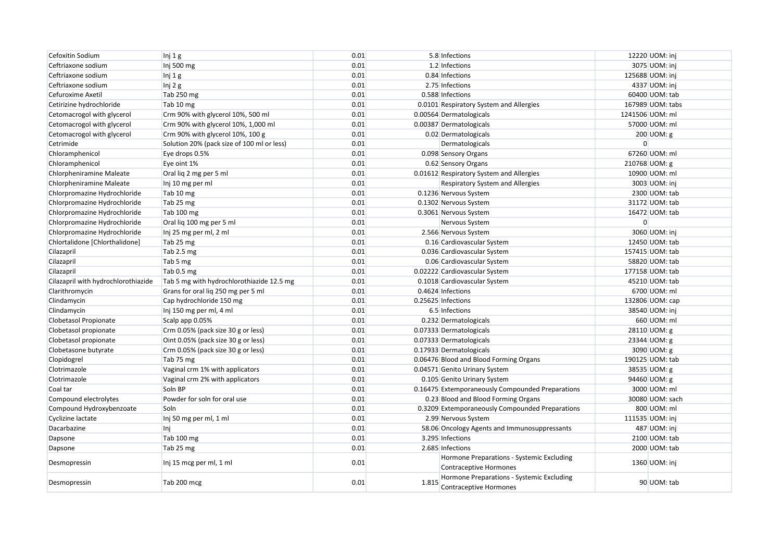| Cefoxitin Sodium                    | Inj 1g                                     | 0.01 |       | 5.8 Infections                                                             | 12220 UOM: inj   |
|-------------------------------------|--------------------------------------------|------|-------|----------------------------------------------------------------------------|------------------|
| Ceftriaxone sodium                  | Inj 500 mg                                 | 0.01 |       | 1.2 Infections                                                             | 3075 UOM: inj    |
| Ceftriaxone sodium                  | Inj $1g$                                   | 0.01 |       | 0.84 Infections                                                            | 125688 UOM: inj  |
| Ceftriaxone sodium                  | Inj $2g$                                   | 0.01 |       | 2.75 Infections                                                            | 4337 UOM: inj    |
| Cefuroxime Axetil                   | Tab 250 mg                                 | 0.01 |       | 0.588 Infections                                                           | 60400 UOM: tab   |
| Cetirizine hydrochloride            | Tab 10 mg                                  | 0.01 |       | 0.0101 Respiratory System and Allergies                                    | 167989 UOM: tabs |
| Cetomacrogol with glycerol          | Crm 90% with glycerol 10%, 500 ml          | 0.01 |       | 0.00564 Dermatologicals                                                    | 1241506 UOM: ml  |
| Cetomacrogol with glycerol          | Crm 90% with glycerol 10%, 1,000 ml        | 0.01 |       | 0.00387 Dermatologicals                                                    | 57000 UOM: ml    |
| Cetomacrogol with glycerol          | Crm 90% with glycerol 10%, 100 g           | 0.01 |       | 0.02 Dermatologicals                                                       | 200 UOM: g       |
| Cetrimide                           | Solution 20% (pack size of 100 ml or less) | 0.01 |       | Dermatologicals                                                            | $\Omega$         |
| Chloramphenicol                     | Eye drops 0.5%                             | 0.01 |       | 0.098 Sensory Organs                                                       | 67260 UOM: ml    |
| Chloramphenicol                     | Eye oint 1%                                | 0.01 |       | 0.62 Sensory Organs                                                        | 210768 UOM: g    |
| Chlorpheniramine Maleate            | Oral liq 2 mg per 5 ml                     | 0.01 |       | 0.01612 Respiratory System and Allergies                                   | 10900 UOM: ml    |
| Chlorpheniramine Maleate            | Inj 10 mg per ml                           | 0.01 |       | Respiratory System and Allergies                                           | 3003 UOM: inj    |
| Chlorpromazine Hydrochloride        | Tab 10 mg                                  | 0.01 |       | 0.1236 Nervous System                                                      | 2300 UOM: tab    |
| Chlorpromazine Hydrochloride        | Tab 25 mg                                  | 0.01 |       | 0.1302 Nervous System                                                      | 31172 UOM: tab   |
| Chlorpromazine Hydrochloride        | Tab 100 mg                                 | 0.01 |       | 0.3061 Nervous System                                                      | 16472 UOM: tab   |
| Chlorpromazine Hydrochloride        | Oral lig 100 mg per 5 ml                   | 0.01 |       | Nervous System                                                             | $\overline{0}$   |
| Chlorpromazine Hydrochloride        | Inj 25 mg per ml, 2 ml                     | 0.01 |       | 2.566 Nervous System                                                       | 3060 UOM: inj    |
| Chlortalidone [Chlorthalidone]      | Tab 25 mg                                  | 0.01 |       | 0.16 Cardiovascular System                                                 | 12450 UOM: tab   |
| Cilazapril                          | Tab 2.5 mg                                 | 0.01 |       | 0.036 Cardiovascular System                                                | 157415 UOM: tab  |
| Cilazapril                          | Tab 5 mg                                   | 0.01 |       | 0.06 Cardiovascular System                                                 | 58820 UOM: tab   |
| Cilazapril                          | Tab 0.5 mg                                 | 0.01 |       | 0.02222 Cardiovascular System                                              | 177158 UOM: tab  |
| Cilazapril with hydrochlorothiazide | Tab 5 mg with hydrochlorothiazide 12.5 mg  | 0.01 |       | 0.1018 Cardiovascular System                                               | 45210 UOM: tab   |
| Clarithromycin                      | Grans for oral liq 250 mg per 5 ml         | 0.01 |       | 0.4624 Infections                                                          | 6700 UOM: ml     |
| Clindamycin                         | Cap hydrochloride 150 mg                   | 0.01 |       | 0.25625 Infections                                                         | 132806 UOM: cap  |
| Clindamycin                         | Inj 150 mg per ml, 4 ml                    | 0.01 |       | 6.5 Infections                                                             | 38540 UOM: inj   |
| Clobetasol Propionate               | Scalp app 0.05%                            | 0.01 |       | 0.232 Dermatologicals                                                      | 660 UOM: ml      |
| Clobetasol propionate               | Crm 0.05% (pack size 30 g or less)         | 0.01 |       | 0.07333 Dermatologicals                                                    | 28110 UOM: g     |
| Clobetasol propionate               | Oint 0.05% (pack size 30 g or less)        | 0.01 |       | 0.07333 Dermatologicals                                                    | 23344 UOM: g     |
| Clobetasone butyrate                | Crm 0.05% (pack size 30 g or less)         | 0.01 |       | 0.17933 Dermatologicals                                                    | 3090 UOM: g      |
| Clopidogrel                         | Tab 75 mg                                  | 0.01 |       | 0.06476 Blood and Blood Forming Organs                                     | 190125 UOM: tab  |
| Clotrimazole                        | Vaginal crm 1% with applicators            | 0.01 |       | 0.04571 Genito Urinary System                                              | 38535 UOM: g     |
| Clotrimazole                        | Vaginal crm 2% with applicators            | 0.01 |       | 0.105 Genito Urinary System                                                | 94460 UOM: g     |
| Coal tar                            | Soln BP                                    | 0.01 |       | 0.16475 Extemporaneously Compounded Preparations                           | 3000 UOM: ml     |
| Compound electrolytes               | Powder for soln for oral use               | 0.01 |       | 0.23 Blood and Blood Forming Organs                                        | 30080 UOM: sach  |
| Compound Hydroxybenzoate            | Soln                                       | 0.01 |       | 0.3209 Extemporaneously Compounded Preparations                            | 800 UOM: ml      |
| Cyclizine lactate                   | Inj 50 mg per ml, 1 ml                     | 0.01 |       | 2.99 Nervous System                                                        | 111535 UOM: inj  |
| Dacarbazine                         | Inj                                        | 0.01 |       | 58.06 Oncology Agents and Immunosuppressants                               | 487 UOM: inj     |
| Dapsone                             | Tab 100 mg                                 | 0.01 |       | 3.295 Infections                                                           | 2100 UOM: tab    |
| Dapsone                             | Tab 25 mg                                  | 0.01 |       | 2.685 Infections                                                           | 2000 UOM: tab    |
| Desmopressin                        | Inj 15 mcg per ml, 1 ml                    | 0.01 |       | Hormone Preparations - Systemic Excluding<br><b>Contraceptive Hormones</b> | 1360 UOM: inj    |
| Desmopressin                        | Tab 200 mcg                                | 0.01 | 1.815 | Hormone Preparations - Systemic Excluding<br><b>Contraceptive Hormones</b> | 90 UOM: tab      |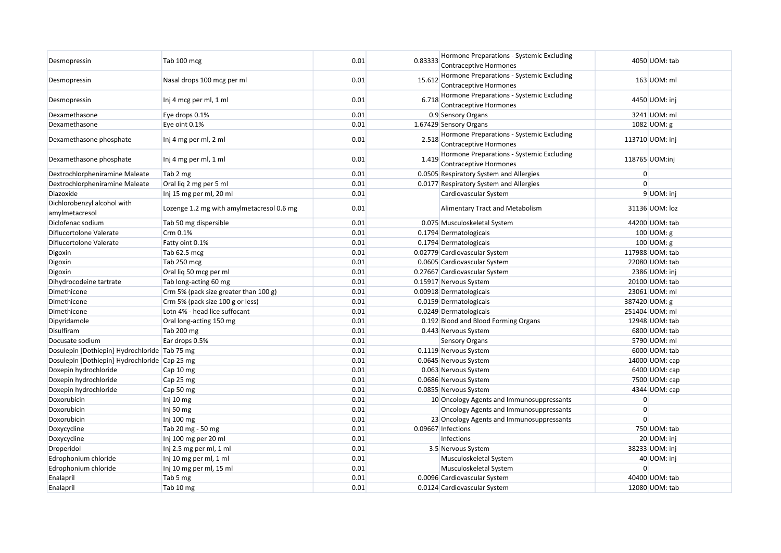| Desmopressin                                  | Tab 100 mcg                               | 0.01 | 0.83333 | Hormone Preparations - Systemic Excluding<br><b>Contraceptive Hormones</b> |                | 4050 UOM: tab   |
|-----------------------------------------------|-------------------------------------------|------|---------|----------------------------------------------------------------------------|----------------|-----------------|
| Desmopressin                                  | Nasal drops 100 mcg per ml                | 0.01 | 15.612  | Hormone Preparations - Systemic Excluding<br><b>Contraceptive Hormones</b> |                | 163 UOM: ml     |
| Desmopressin                                  | Inj 4 mcg per ml, 1 ml                    | 0.01 | 6.718   | Hormone Preparations - Systemic Excluding<br>Contraceptive Hormones        |                | 4450 UOM: inj   |
| Dexamethasone                                 | Eye drops 0.1%                            | 0.01 |         | 0.9 Sensory Organs                                                         |                | 3241 UOM: ml    |
| Dexamethasone                                 | Eye oint 0.1%                             | 0.01 |         | 1.67429 Sensory Organs                                                     |                | 1082 UOM: g     |
| Dexamethasone phosphate                       | Inj 4 mg per ml, 2 ml                     | 0.01 | 2.518   | Hormone Preparations - Systemic Excluding<br>Contraceptive Hormones        |                | 113710 UOM: inj |
| Dexamethasone phosphate                       | Inj 4 mg per ml, 1 ml                     | 0.01 | 1.419   | Hormone Preparations - Systemic Excluding<br>Contraceptive Hormones        |                | 118765 UOM:inj  |
| Dextrochlorpheniramine Maleate                | Tab 2 mg                                  | 0.01 |         | 0.0505 Respiratory System and Allergies                                    | $\overline{0}$ |                 |
| Dextrochlorpheniramine Maleate                | Oral lig 2 mg per 5 ml                    | 0.01 |         | 0.0177 Respiratory System and Allergies                                    | $\Omega$       |                 |
| Diazoxide                                     | Inj 15 mg per ml, 20 ml                   | 0.01 |         | Cardiovascular System                                                      |                | 9 UOM: inj      |
| Dichlorobenzyl alcohol with<br>amylmetacresol | Lozenge 1.2 mg with amylmetacresol 0.6 mg | 0.01 |         | Alimentary Tract and Metabolism                                            |                | 31136 UOM: loz  |
| Diclofenac sodium                             | Tab 50 mg dispersible                     | 0.01 |         | 0.075 Musculoskeletal System                                               |                | 44200 UOM: tab  |
| Diflucortolone Valerate                       | Crm 0.1%                                  | 0.01 |         | 0.1794 Dermatologicals                                                     |                | 100 UOM: g      |
| Diflucortolone Valerate                       | Fatty oint 0.1%                           | 0.01 |         | 0.1794 Dermatologicals                                                     |                | 100 $UOM: g$    |
| Digoxin                                       | Tab 62.5 mcg                              | 0.01 |         | 0.02779 Cardiovascular System                                              |                | 117988 UOM: tab |
| Digoxin                                       | Tab 250 mcg                               | 0.01 |         | 0.0605 Cardiovascular System                                               |                | 22080 UOM: tab  |
| Digoxin                                       | Oral lig 50 mcg per ml                    | 0.01 |         | 0.27667 Cardiovascular System                                              |                | 2386 UOM: inj   |
| Dihydrocodeine tartrate                       | Tab long-acting 60 mg                     | 0.01 |         | 0.15917 Nervous System                                                     |                | 20100 UOM: tab  |
| Dimethicone                                   | Crm 5% (pack size greater than 100 g)     | 0.01 |         | 0.00918 Dermatologicals                                                    |                | 23061 UOM: ml   |
| Dimethicone                                   | Crm 5% (pack size 100 g or less)          | 0.01 |         | 0.0159 Dermatologicals                                                     |                | 387420 UOM: g   |
| Dimethicone                                   | Lotn 4% - head lice suffocant             | 0.01 |         | 0.0249 Dermatologicals                                                     |                | 251404 UOM: ml  |
| Dipyridamole                                  | Oral long-acting 150 mg                   | 0.01 |         | 0.192 Blood and Blood Forming Organs                                       |                | 12948 UOM: tab  |
| Disulfiram                                    | Tab 200 mg                                | 0.01 |         | 0.443 Nervous System                                                       |                | 6800 UOM: tab   |
| Docusate sodium                               | Ear drops 0.5%                            | 0.01 |         | <b>Sensory Organs</b>                                                      |                | 5790 UOM: ml    |
| Dosulepin [Dothiepin] Hydrochloride Tab 75 mg |                                           | 0.01 |         | 0.1119 Nervous System                                                      |                | 6000 UOM: tab   |
| Dosulepin [Dothiepin] Hydrochloride Cap 25 mg |                                           | 0.01 |         | 0.0645 Nervous System                                                      |                | 14000 UOM: cap  |
| Doxepin hydrochloride                         | Cap 10 mg                                 | 0.01 |         | 0.063 Nervous System                                                       |                | 6400 UOM: cap   |
| Doxepin hydrochloride                         | Cap 25 mg                                 | 0.01 |         | 0.0686 Nervous System                                                      |                | 7500 UOM: cap   |
| Doxepin hydrochloride                         | Cap 50 mg                                 | 0.01 |         | 0.0855 Nervous System                                                      |                | 4344 UOM: cap   |
| Doxorubicin                                   | Inj $10 \text{ mg}$                       | 0.01 |         | 10 Oncology Agents and Immunosuppressants                                  | $\overline{0}$ |                 |
| Doxorubicin                                   | Inj 50 mg                                 | 0.01 |         | Oncology Agents and Immunosuppressants                                     | $\overline{0}$ |                 |
| Doxorubicin                                   | Inj 100 mg                                | 0.01 |         | 23 Oncology Agents and Immunosuppressants                                  | $\Omega$       |                 |
| Doxycycline                                   | Tab 20 mg - 50 mg                         | 0.01 |         | 0.09667 Infections                                                         |                | 750 UOM: tab    |
| Doxycycline                                   | Inj 100 mg per 20 ml                      | 0.01 |         | Infections                                                                 |                | 20 UOM: inj     |
| Droperidol                                    | Inj 2.5 mg per ml, 1 ml                   | 0.01 |         | 3.5 Nervous System                                                         |                | 38233 UOM: inj  |
| Edrophonium chloride                          | Inj 10 mg per ml, 1 ml                    | 0.01 |         | Musculoskeletal System                                                     |                | 40 UOM: inj     |
| Edrophonium chloride                          | Inj 10 mg per ml, 15 ml                   | 0.01 |         | Musculoskeletal System                                                     | $\Omega$       |                 |
| Enalapril                                     | Tab 5 mg                                  | 0.01 |         | 0.0096 Cardiovascular System                                               |                | 40400 UOM: tab  |
| Enalapril                                     | Tab 10 mg                                 | 0.01 |         | 0.0124 Cardiovascular System                                               |                | 12080 UOM: tab  |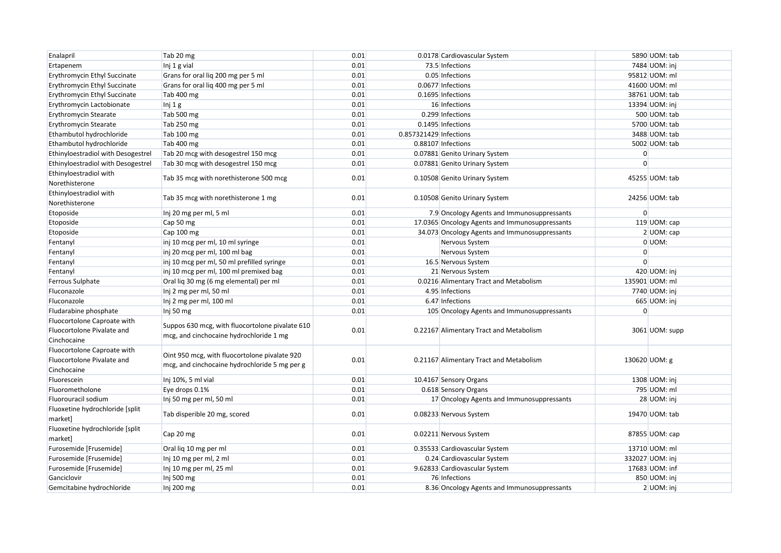| Enalapril                                                                | Tab 20 mg                                                                                      | 0.01 |                        | 0.0178 Cardiovascular System                   |                | 5890 UOM: tab   |
|--------------------------------------------------------------------------|------------------------------------------------------------------------------------------------|------|------------------------|------------------------------------------------|----------------|-----------------|
| Ertapenem                                                                | Inj 1 g vial                                                                                   | 0.01 |                        | 73.5 Infections                                |                | 7484 UOM: inj   |
| Erythromycin Ethyl Succinate                                             | Grans for oral lig 200 mg per 5 ml                                                             | 0.01 |                        | 0.05 Infections                                |                | 95812 UOM: ml   |
| Erythromycin Ethyl Succinate                                             | Grans for oral lig 400 mg per 5 ml                                                             | 0.01 |                        | 0.0677 Infections                              |                | 41600 UOM: ml   |
| Erythromycin Ethyl Succinate                                             | Tab 400 mg                                                                                     | 0.01 |                        | 0.1695 Infections                              |                | 38761 UOM: tab  |
| Erythromycin Lactobionate                                                | Inj 1 g                                                                                        | 0.01 |                        | 16 Infections                                  |                | 13394 UOM: inj  |
| Erythromycin Stearate                                                    | Tab 500 mg                                                                                     | 0.01 |                        | 0.299 Infections                               |                | 500 UOM: tab    |
| Erythromycin Stearate                                                    | Tab 250 mg                                                                                     | 0.01 |                        | 0.1495 Infections                              |                | 5700 UOM: tab   |
| Ethambutol hydrochloride                                                 | Tab 100 mg                                                                                     | 0.01 | 0.857321429 Infections |                                                |                | 3488 UOM: tab   |
| Ethambutol hydrochloride                                                 | Tab 400 mg                                                                                     | 0.01 |                        | 0.88107 Infections                             |                | 5002 UOM: tab   |
| Ethinyloestradiol with Desogestrel                                       | Tab 20 mcg with desogestrel 150 mcg                                                            | 0.01 |                        | 0.07881 Genito Urinary System                  | $\overline{0}$ |                 |
| Ethinyloestradiol with Desogestrel                                       | Tab 30 mcg with desogestrel 150 mcg                                                            | 0.01 |                        | 0.07881 Genito Urinary System                  | $\Omega$       |                 |
| Ethinyloestradiol with<br>Norethisterone                                 | Tab 35 mcg with norethisterone 500 mcg                                                         | 0.01 |                        | 0.10508 Genito Urinary System                  |                | 45255 UOM: tab  |
| Ethinyloestradiol with<br>Norethisterone                                 | Tab 35 mcg with norethisterone 1 mg                                                            | 0.01 |                        | 0.10508 Genito Urinary System                  |                | 24256 UOM: tab  |
| Etoposide                                                                | Inj 20 mg per ml, 5 ml                                                                         | 0.01 |                        | 7.9 Oncology Agents and Immunosuppressants     | $\overline{0}$ |                 |
| Etoposide                                                                | Cap 50 mg                                                                                      | 0.01 |                        | 17.0365 Oncology Agents and Immunosuppressants |                | 119 UOM: cap    |
| Etoposide                                                                | Cap 100 mg                                                                                     | 0.01 |                        | 34.073 Oncology Agents and Immunosuppressants  |                | 2 UOM: cap      |
| Fentanyl                                                                 | inj 10 mcg per ml, 10 ml syringe                                                               | 0.01 |                        | Nervous System                                 |                | 0 UOM:          |
| Fentanyl                                                                 | inj 20 mcg per ml, 100 ml bag                                                                  | 0.01 |                        | Nervous System                                 | $\overline{0}$ |                 |
| Fentanyl                                                                 | inj 10 mcg per ml, 50 ml prefilled syringe                                                     | 0.01 |                        | 16.5 Nervous System                            | $\Omega$       |                 |
| Fentanyl                                                                 | inj 10 mcg per ml, 100 ml premixed bag                                                         | 0.01 |                        | 21 Nervous System                              |                | 420 UOM: inj    |
| <b>Ferrous Sulphate</b>                                                  | Oral lig 30 mg (6 mg elemental) per ml                                                         | 0.01 |                        | 0.0216 Alimentary Tract and Metabolism         |                | 135901 UOM: ml  |
| Fluconazole                                                              | Inj 2 mg per ml, 50 ml                                                                         | 0.01 |                        | 4.95 Infections                                |                | 7740 UOM: inj   |
| Fluconazole                                                              | Inj 2 mg per ml, 100 ml                                                                        | 0.01 |                        | 6.47 Infections                                |                | 665 UOM: inj    |
| Fludarabine phosphate                                                    | Inj 50 mg                                                                                      | 0.01 |                        | 105 Oncology Agents and Immunosuppressants     | $\Omega$       |                 |
| Fluocortolone Caproate with<br>Fluocortolone Pivalate and<br>Cinchocaine | Suppos 630 mcg, with fluocortolone pivalate 610<br>mcg, and cinchocaine hydrochloride 1 mg     | 0.01 |                        | 0.22167 Alimentary Tract and Metabolism        |                | 3061 UOM: supp  |
| Fluocortolone Caproate with<br>Fluocortolone Pivalate and<br>Cinchocaine | Oint 950 mcg, with fluocortolone pivalate 920<br>mcg, and cinchocaine hydrochloride 5 mg per g | 0.01 |                        | 0.21167 Alimentary Tract and Metabolism        |                | 130620 UOM: g   |
| Fluorescein                                                              | Inj 10%, 5 ml vial                                                                             | 0.01 |                        | 10.4167 Sensory Organs                         |                | 1308 UOM: inj   |
| Fluorometholone                                                          | Eye drops 0.1%                                                                                 | 0.01 |                        | 0.618 Sensory Organs                           |                | 795 UOM: ml     |
| Fluorouracil sodium                                                      | Inj 50 mg per ml, 50 ml                                                                        | 0.01 |                        | 17 Oncology Agents and Immunosuppressants      |                | 28 UOM: inj     |
| Fluoxetine hydrochloride [split]<br>market]                              | Tab disperible 20 mg, scored                                                                   | 0.01 |                        | 0.08233 Nervous System                         |                | 19470 UOM: tab  |
| Fluoxetine hydrochloride [split<br>market]                               | Cap 20 mg                                                                                      | 0.01 |                        | 0.02211 Nervous System                         |                | 87855 UOM: cap  |
| Furosemide [Frusemide]                                                   | Oral lig 10 mg per ml                                                                          | 0.01 |                        | 0.35533 Cardiovascular System                  |                | 13710 UOM: ml   |
| Furosemide [Frusemide]                                                   | Inj 10 mg per ml, 2 ml                                                                         | 0.01 |                        | 0.24 Cardiovascular System                     |                | 332027 UOM: inj |
| Furosemide [Frusemide]                                                   | Inj 10 mg per ml, 25 ml                                                                        | 0.01 |                        | 9.62833 Cardiovascular System                  |                | 17683 UOM: inf  |
| Ganciclovir                                                              | Inj 500 mg                                                                                     | 0.01 |                        | 76 Infections                                  |                | 850 UOM: inj    |
| Gemcitabine hydrochloride                                                | Inj 200 mg                                                                                     | 0.01 |                        | 8.36 Oncology Agents and Immunosuppressants    |                | 2 UOM: inj      |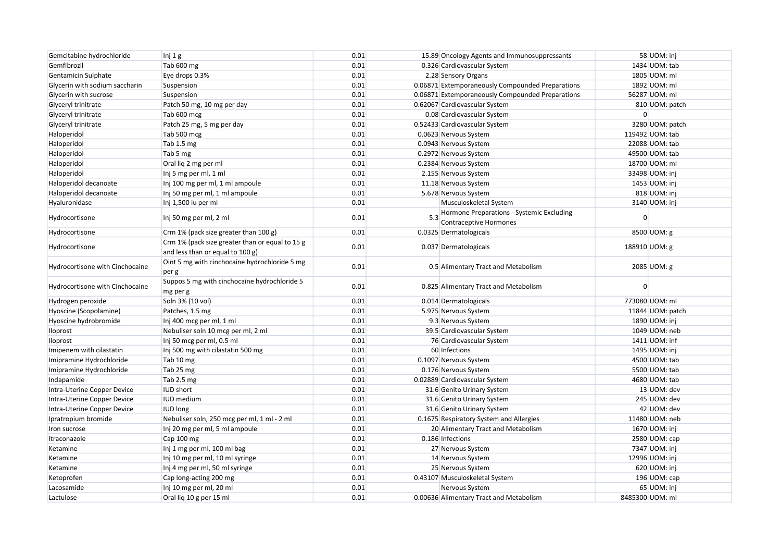| Gemcitabine hydrochloride       | Inj 1 g                                                                             | 0.01 |     | 15.89 Oncology Agents and Immunosuppressants                               | 58 UOM: inj      |
|---------------------------------|-------------------------------------------------------------------------------------|------|-----|----------------------------------------------------------------------------|------------------|
| Gemfibrozil                     | Tab 600 mg                                                                          | 0.01 |     | 0.326 Cardiovascular System                                                | 1434 UOM: tab    |
| Gentamicin Sulphate             | Eye drops 0.3%                                                                      | 0.01 |     | 2.28 Sensory Organs                                                        | 1805 UOM: ml     |
| Glycerin with sodium saccharin  | Suspension                                                                          | 0.01 |     | 0.06871 Extemporaneously Compounded Preparations                           | 1892 UOM: ml     |
| Glycerin with sucrose           | Suspension                                                                          | 0.01 |     | 0.06871 Extemporaneously Compounded Preparations                           | 56287 UOM: ml    |
| Glyceryl trinitrate             | Patch 50 mg, 10 mg per day                                                          | 0.01 |     | 0.62067 Cardiovascular System                                              | 810 UOM: patch   |
| Glyceryl trinitrate             | Tab 600 mcg                                                                         | 0.01 |     | 0.08 Cardiovascular System                                                 | $\Omega$         |
| Glyceryl trinitrate             | Patch 25 mg, 5 mg per day                                                           | 0.01 |     | 0.52433 Cardiovascular System                                              | 3280 UOM: patch  |
| Haloperidol                     | Tab 500 mcg                                                                         | 0.01 |     | 0.0623 Nervous System                                                      | 119492 UOM: tab  |
| Haloperidol                     | Tab 1.5 mg                                                                          | 0.01 |     | 0.0943 Nervous System                                                      | 22088 UOM: tab   |
| Haloperidol                     | Tab 5 mg                                                                            | 0.01 |     | 0.2972 Nervous System                                                      | 49500 UOM: tab   |
| Haloperidol                     | Oral liq 2 mg per ml                                                                | 0.01 |     | 0.2384 Nervous System                                                      | 18700 UOM: ml    |
| Haloperidol                     | Inj 5 mg per ml, 1 ml                                                               | 0.01 |     | 2.155 Nervous System                                                       | 33498 UOM: inj   |
| Haloperidol decanoate           | Inj 100 mg per ml, 1 ml ampoule                                                     | 0.01 |     | 11.18 Nervous System                                                       | 1453 UOM: inj    |
| Haloperidol decanoate           | Inj 50 mg per ml, 1 ml ampoule                                                      | 0.01 |     | 5.678 Nervous System                                                       | 818 UOM: inj     |
| Hyaluronidase                   | Inj 1,500 iu per ml                                                                 | 0.01 |     | Musculoskeletal System                                                     | 3140 UOM: inj    |
| Hydrocortisone                  | Inj 50 mg per ml, 2 ml                                                              | 0.01 | 5.3 | Hormone Preparations - Systemic Excluding<br><b>Contraceptive Hormones</b> | $\Omega$         |
| Hydrocortisone                  | Crm 1% (pack size greater than 100 g)                                               | 0.01 |     | 0.0325 Dermatologicals                                                     | 8500 UOM: g      |
| Hydrocortisone                  | Crm 1% (pack size greater than or equal to 15 g<br>and less than or equal to 100 g) | 0.01 |     | 0.037 Dermatologicals                                                      | 188910 UOM: g    |
| Hydrocortisone with Cinchocaine | Oint 5 mg with cinchocaine hydrochloride 5 mg<br>per g                              | 0.01 |     | 0.5 Alimentary Tract and Metabolism                                        | 2085 UOM: g      |
| Hydrocortisone with Cinchocaine | Suppos 5 mg with cinchocaine hydrochloride 5<br>mg per g                            | 0.01 |     | 0.825 Alimentary Tract and Metabolism                                      | O                |
| Hydrogen peroxide               | Soln 3% (10 vol)                                                                    | 0.01 |     | 0.014 Dermatologicals                                                      | 773080 UOM: ml   |
| Hyoscine (Scopolamine)          | Patches, 1.5 mg                                                                     | 0.01 |     | 5.975 Nervous System                                                       | 11844 UOM: patch |
| Hyoscine hydrobromide           | Inj 400 mcg per ml, 1 ml                                                            | 0.01 |     | 9.3 Nervous System                                                         | 1890 UOM: inj    |
| Iloprost                        | Nebuliser soln 10 mcg per ml, 2 ml                                                  | 0.01 |     | 39.5 Cardiovascular System                                                 | 1049 UOM: neb    |
| <b>Iloprost</b>                 | Inj 50 mcg per ml, 0.5 ml                                                           | 0.01 |     | 76 Cardiovascular System                                                   | 1411 UOM: inf    |
| Imipenem with cilastatin        | Inj 500 mg with cilastatin 500 mg                                                   | 0.01 |     | 60 Infections                                                              | 1495 UOM: inj    |
| Imipramine Hydrochloride        | Tab 10 mg                                                                           | 0.01 |     | 0.1097 Nervous System                                                      | 4500 UOM: tab    |
| Imipramine Hydrochloride        | Tab 25 mg                                                                           | 0.01 |     | 0.176 Nervous System                                                       | 5500 UOM: tab    |
| Indapamide                      | Tab 2.5 mg                                                                          | 0.01 |     | 0.02889 Cardiovascular System                                              | 4680 UOM: tab    |
| Intra-Uterine Copper Device     | <b>IUD</b> short                                                                    | 0.01 |     | 31.6 Genito Urinary System                                                 | 13 UOM: dev      |
| Intra-Uterine Copper Device     | <b>IUD</b> medium                                                                   | 0.01 |     | 31.6 Genito Urinary System                                                 | 245 UOM: dev     |
| Intra-Uterine Copper Device     | <b>IUD</b> long                                                                     | 0.01 |     | 31.6 Genito Urinary System                                                 | 42 UOM: dev      |
| Ipratropium bromide             | Nebuliser soln, 250 mcg per ml, 1 ml - 2 ml                                         | 0.01 |     | 0.1675 Respiratory System and Allergies                                    | 11480 UOM: neb   |
| Iron sucrose                    | Inj 20 mg per ml, 5 ml ampoule                                                      | 0.01 |     | 20 Alimentary Tract and Metabolism                                         | 1670 UOM: inj    |
| Itraconazole                    | Cap 100 mg                                                                          | 0.01 |     | 0.186 Infections                                                           | 2580 UOM: cap    |
| Ketamine                        | Inj 1 mg per ml, 100 ml bag                                                         | 0.01 |     | 27 Nervous System                                                          | 7347 UOM: inj    |
| Ketamine                        | Inj 10 mg per ml, 10 ml syringe                                                     | 0.01 |     | 14 Nervous System                                                          | 12996 UOM: inj   |
| Ketamine                        | Inj 4 mg per ml, 50 ml syringe                                                      | 0.01 |     | 25 Nervous System                                                          | 620 UOM: inj     |
| Ketoprofen                      | Cap long-acting 200 mg                                                              | 0.01 |     | 0.43107 Musculoskeletal System                                             | 196 UOM: cap     |
| Lacosamide                      | Inj 10 mg per ml, 20 ml                                                             | 0.01 |     | Nervous System                                                             | 65 UOM: inj      |
| Lactulose                       | Oral liq 10 g per 15 ml                                                             | 0.01 |     | 0.00636 Alimentary Tract and Metabolism                                    | 8485300 UOM: ml  |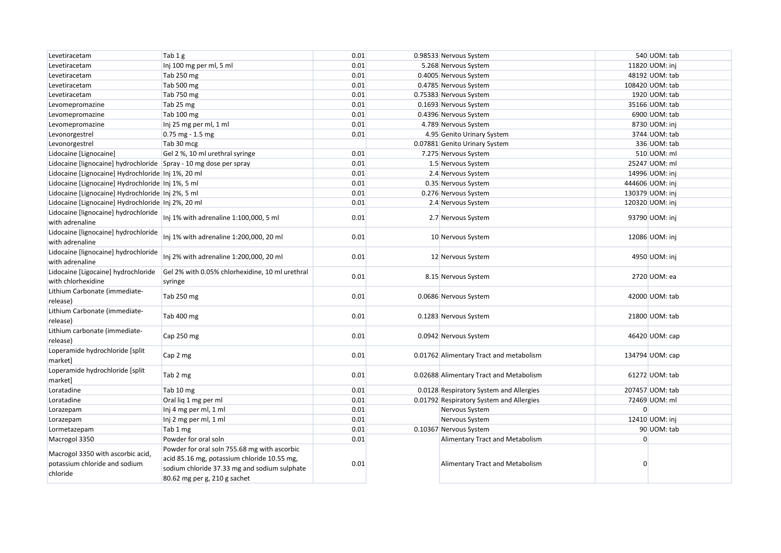| Levetiracetam                                                                  | Tab 1g                                                                                                                                                                      | 0.01 | 0.98533 Nervous System                   |                | 540 UOM: tab    |
|--------------------------------------------------------------------------------|-----------------------------------------------------------------------------------------------------------------------------------------------------------------------------|------|------------------------------------------|----------------|-----------------|
| Levetiracetam                                                                  | Inj 100 mg per ml, 5 ml                                                                                                                                                     | 0.01 | 5.268 Nervous System                     |                | 11820 UOM: inj  |
| Levetiracetam                                                                  | Tab 250 mg                                                                                                                                                                  | 0.01 | 0.4005 Nervous System                    |                | 48192 UOM: tab  |
| Levetiracetam                                                                  | Tab 500 mg                                                                                                                                                                  | 0.01 | 0.4785 Nervous System                    |                | 108420 UOM: tab |
| Levetiracetam                                                                  | Tab 750 mg                                                                                                                                                                  | 0.01 | 0.75383 Nervous System                   |                | 1920 UOM: tab   |
| Levomepromazine                                                                | Tab 25 mg                                                                                                                                                                   | 0.01 | 0.1693 Nervous System                    |                | 35166 UOM: tab  |
| Levomepromazine                                                                | Tab 100 mg                                                                                                                                                                  | 0.01 | 0.4396 Nervous System                    |                | 6900 UOM: tab   |
| Levomepromazine                                                                | Inj 25 mg per ml, 1 ml                                                                                                                                                      | 0.01 | 4.789 Nervous System                     |                | 8730 UOM: inj   |
| Levonorgestrel                                                                 | $0.75$ mg - 1.5 mg                                                                                                                                                          | 0.01 | 4.95 Genito Urinary System               |                | 3744 UOM: tab   |
| Levonorgestrel                                                                 | Tab 30 mcg                                                                                                                                                                  |      | 0.07881 Genito Urinary System            |                | 336 UOM: tab    |
| Lidocaine [Lignocaine]                                                         | Gel 2 %, 10 ml urethral syringe                                                                                                                                             | 0.01 | 7.275 Nervous System                     |                | 510 UOM: ml     |
| Lidocaine [lignocaine] hydrochloride Spray - 10 mg dose per spray              |                                                                                                                                                                             | 0.01 | 1.5 Nervous System                       |                | 25247 UOM: ml   |
| Lidocaine [Lignocaine] Hydrochloride   Inj 1%, 20 ml                           |                                                                                                                                                                             | 0.01 | 2.4 Nervous System                       |                | 14996 UOM: inj  |
| Lidocaine [Lignocaine] Hydrochloride Inj 1%, 5 ml                              |                                                                                                                                                                             | 0.01 | 0.35 Nervous System                      |                | 444606 UOM: inj |
| Lidocaine [Lignocaine] Hydrochloride Inj 2%, 5 ml                              |                                                                                                                                                                             | 0.01 | 0.276 Nervous System                     |                | 130379 UOM: inj |
| Lidocaine [Lignocaine] Hydrochloride   Inj 2%, 20 ml                           |                                                                                                                                                                             | 0.01 | 2.4 Nervous System                       |                | 120320 UOM: inj |
| Lidocaine [lignocaine] hydrochloride<br>with adrenaline                        | Inj 1% with adrenaline 1:100,000, 5 ml                                                                                                                                      | 0.01 | 2.7 Nervous System                       |                | 93790 UOM: inj  |
| Lidocaine [lignocaine] hydrochloride<br>with adrenaline                        | Inj 1% with adrenaline 1:200,000, 20 ml                                                                                                                                     | 0.01 | 10 Nervous System                        |                | 12086 UOM: inj  |
| Lidocaine [lignocaine] hydrochloride<br>with adrenaline                        | Inj 2% with adrenaline 1:200,000, 20 ml                                                                                                                                     | 0.01 | 12 Nervous System                        |                | 4950 UOM: inj   |
| Lidocaine [Ligocaine] hydrochloride<br>with chlorhexidine                      | Gel 2% with 0.05% chlorhexidine, 10 ml urethral<br>syringe                                                                                                                  | 0.01 | 8.15 Nervous System                      |                | 2720 UOM: ea    |
| Lithium Carbonate (immediate-<br>release)                                      | Tab 250 mg                                                                                                                                                                  | 0.01 | 0.0686 Nervous System                    |                | 42000 UOM: tab  |
| Lithium Carbonate (immediate-<br>release)                                      | Tab 400 mg                                                                                                                                                                  | 0.01 | 0.1283 Nervous System                    |                | 21800 UOM: tab  |
| Lithium carbonate (immediate-<br>release)                                      | Cap 250 mg                                                                                                                                                                  | 0.01 | 0.0942 Nervous System                    |                | 46420 UOM: cap  |
| Loperamide hydrochloride [split<br>market]                                     | Cap 2 mg                                                                                                                                                                    | 0.01 | 0.01762 Alimentary Tract and metabolism  |                | 134794 UOM: cap |
| Loperamide hydrochloride [split<br>market]                                     | Tab 2 mg                                                                                                                                                                    | 0.01 | 0.02688 Alimentary Tract and Metabolism  |                | 61272 UOM: tab  |
| Loratadine                                                                     | Tab 10 mg                                                                                                                                                                   | 0.01 | 0.0128 Respiratory System and Allergies  |                | 207457 UOM: tab |
| Loratadine                                                                     | Oral lig 1 mg per ml                                                                                                                                                        | 0.01 | 0.01792 Respiratory System and Allergies |                | 72469 UOM: ml   |
| Lorazepam                                                                      | Inj 4 mg per ml, 1 ml                                                                                                                                                       | 0.01 | Nervous System                           | $\overline{0}$ |                 |
| Lorazepam                                                                      | Inj 2 mg per ml, 1 ml                                                                                                                                                       | 0.01 | Nervous System                           |                | 12410 UOM: inj  |
| Lormetazepam                                                                   | Tab 1 mg                                                                                                                                                                    | 0.01 | 0.10367 Nervous System                   |                | 90 UOM: tab     |
| Macrogol 3350                                                                  | Powder for oral soln                                                                                                                                                        | 0.01 | Alimentary Tract and Metabolism          | $\overline{0}$ |                 |
| Macrogol 3350 with ascorbic acid,<br>potassium chloride and sodium<br>chloride | Powder for oral soln 755.68 mg with ascorbic<br>acid 85.16 mg, potassium chloride 10.55 mg,<br>sodium chloride 37.33 mg and sodium sulphate<br>80.62 mg per g, 210 g sachet | 0.01 | Alimentary Tract and Metabolism          | $\Omega$       |                 |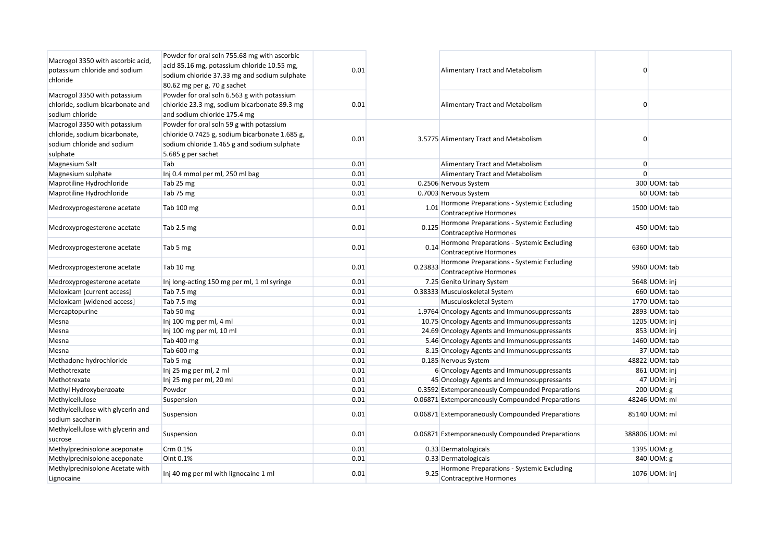| Macrogol 3350 with ascorbic acid,<br>potassium chloride and sodium<br>chloride                          | Powder for oral soln 755.68 mg with ascorbic<br>acid 85.16 mg, potassium chloride 10.55 mg,<br>sodium chloride 37.33 mg and sodium sulphate<br>80.62 mg per g, 70 g sachet | 0.01 |         | Alimentary Tract and Metabolism                                            | $\Omega$       |                |
|---------------------------------------------------------------------------------------------------------|----------------------------------------------------------------------------------------------------------------------------------------------------------------------------|------|---------|----------------------------------------------------------------------------|----------------|----------------|
| Macrogol 3350 with potassium<br>chloride, sodium bicarbonate and<br>sodium chloride                     | Powder for oral soln 6.563 g with potassium<br>chloride 23.3 mg, sodium bicarbonate 89.3 mg<br>and sodium chloride 175.4 mg                                                | 0.01 |         | Alimentary Tract and Metabolism                                            | $\Omega$       |                |
| Macrogol 3350 with potassium<br>chloride, sodium bicarbonate,<br>sodium chloride and sodium<br>sulphate | Powder for oral soln 59 g with potassium<br>chloride 0.7425 g, sodium bicarbonate 1.685 g,<br>sodium chloride 1.465 g and sodium sulphate<br>5.685 g per sachet            | 0.01 |         | 3.5775 Alimentary Tract and Metabolism                                     | $\Omega$       |                |
| Magnesium Salt                                                                                          | Tab                                                                                                                                                                        | 0.01 |         | Alimentary Tract and Metabolism                                            | $\overline{0}$ |                |
| Magnesium sulphate                                                                                      | Inj 0.4 mmol per ml, 250 ml bag                                                                                                                                            | 0.01 |         | Alimentary Tract and Metabolism                                            | $\Omega$       |                |
| Maprotiline Hydrochloride                                                                               | Tab 25 mg                                                                                                                                                                  | 0.01 |         | 0.2506 Nervous System                                                      |                | 300 UOM: tab   |
| Maprotiline Hydrochloride                                                                               | Tab 75 mg                                                                                                                                                                  | 0.01 |         | 0.7003 Nervous System                                                      |                | 60 UOM: tab    |
| Medroxyprogesterone acetate                                                                             | Tab 100 mg                                                                                                                                                                 | 0.01 | 1.01    | Hormone Preparations - Systemic Excluding<br><b>Contraceptive Hormones</b> |                | 1500 UOM: tab  |
| Medroxyprogesterone acetate                                                                             | Tab 2.5 mg                                                                                                                                                                 | 0.01 |         | 0.125 Hormone Preparations - Systemic Excluding<br>Contraceptive Hormones  |                | 450 UOM: tab   |
| Medroxyprogesterone acetate                                                                             | Tab 5 mg                                                                                                                                                                   | 0.01 | 0.14    | Hormone Preparations - Systemic Excluding<br><b>Contraceptive Hormones</b> |                | 6360 UOM: tab  |
| Medroxyprogesterone acetate                                                                             | Tab 10 mg                                                                                                                                                                  | 0.01 | 0.23833 | Hormone Preparations - Systemic Excluding<br>Contraceptive Hormones        |                | 9960 UOM: tab  |
| Medroxyprogesterone acetate                                                                             | Inj long-acting 150 mg per ml, 1 ml syringe                                                                                                                                | 0.01 |         | 7.25 Genito Urinary System                                                 |                | 5648 UOM: inj  |
| Meloxicam [current access]                                                                              | Tab 7.5 mg                                                                                                                                                                 | 0.01 |         | 0.38333 Musculoskeletal System                                             |                | 660 UOM: tab   |
| Meloxicam [widened access]                                                                              | Tab 7.5 mg                                                                                                                                                                 | 0.01 |         | Musculoskeletal System                                                     |                | 1770 UOM: tab  |
| Mercaptopurine                                                                                          | Tab 50 mg                                                                                                                                                                  | 0.01 |         | 1.9764 Oncology Agents and Immunosuppressants                              |                | 2893 UOM: tab  |
| Mesna                                                                                                   | Inj 100 mg per ml, 4 ml                                                                                                                                                    | 0.01 |         | 10.75 Oncology Agents and Immunosuppressants                               |                | 1205 UOM: inj  |
| Mesna                                                                                                   | Inj 100 mg per ml, 10 ml                                                                                                                                                   | 0.01 |         | 24.69 Oncology Agents and Immunosuppressants                               |                | 853 UOM: inj   |
| Mesna                                                                                                   | Tab 400 mg                                                                                                                                                                 | 0.01 |         | 5.46 Oncology Agents and Immunosuppressants                                |                | 1460 UOM: tab  |
| Mesna                                                                                                   | Tab 600 mg                                                                                                                                                                 | 0.01 |         | 8.15 Oncology Agents and Immunosuppressants                                |                | 37 UOM: tab    |
| Methadone hydrochloride                                                                                 | Tab 5 mg                                                                                                                                                                   | 0.01 |         | 0.185 Nervous System                                                       |                | 48822 UOM: tab |
| Methotrexate                                                                                            | Inj 25 mg per ml, 2 ml                                                                                                                                                     | 0.01 |         | 6 Oncology Agents and Immunosuppressants                                   |                | 861 UOM: inj   |
| Methotrexate                                                                                            | Inj 25 mg per ml, 20 ml                                                                                                                                                    | 0.01 |         | 45 Oncology Agents and Immunosuppressants                                  |                | 47 UOM: inj    |
| Methyl Hydroxybenzoate                                                                                  | Powder                                                                                                                                                                     | 0.01 |         | 0.3592 Extemporaneously Compounded Preparations                            |                | 200 UOM: g     |
| Methylcellulose                                                                                         | Suspension                                                                                                                                                                 | 0.01 |         | 0.06871 Extemporaneously Compounded Preparations                           |                | 48246 UOM: ml  |
| Methylcellulose with glycerin and<br>sodium saccharin                                                   | Suspension                                                                                                                                                                 | 0.01 |         | 0.06871 Extemporaneously Compounded Preparations                           |                | 85140 UOM: ml  |
| Methylcellulose with glycerin and<br>sucrose                                                            | Suspension                                                                                                                                                                 | 0.01 |         | 0.06871 Extemporaneously Compounded Preparations                           |                | 388806 UOM: ml |
| Methylprednisolone aceponate                                                                            | Crm 0.1%                                                                                                                                                                   | 0.01 |         | 0.33 Dermatologicals                                                       |                | 1395 UOM: g    |
| Methylprednisolone aceponate                                                                            | Oint 0.1%                                                                                                                                                                  | 0.01 |         | 0.33 Dermatologicals                                                       |                | 840 UOM: g     |
| Methylprednisolone Acetate with<br>Lignocaine                                                           | Inj 40 mg per ml with lignocaine 1 ml                                                                                                                                      | 0.01 | 9.25    | Hormone Preparations - Systemic Excluding<br>Contraceptive Hormones        |                | 1076 UOM: inj  |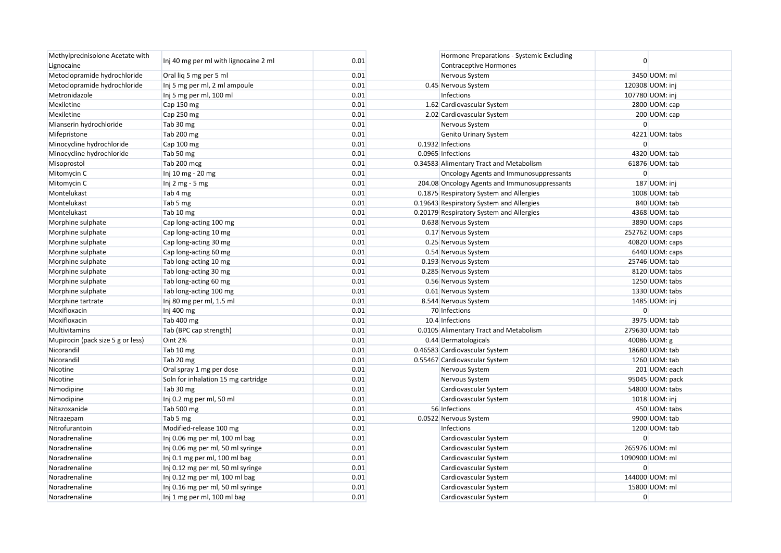| Methylprednisolone Acetate with   |                                       |      | Hormone Preparations - Systemic Excluding     | $\Omega$         |
|-----------------------------------|---------------------------------------|------|-----------------------------------------------|------------------|
| Lignocaine                        | Inj 40 mg per ml with lignocaine 2 ml | 0.01 | <b>Contraceptive Hormones</b>                 |                  |
| Metoclopramide hydrochloride      | Oral lig 5 mg per 5 ml                | 0.01 | Nervous System                                | 3450 UOM: ml     |
| Metoclopramide hydrochloride      | Inj 5 mg per ml, 2 ml ampoule         | 0.01 | 0.45 Nervous System                           | 120308 UOM: inj  |
| Metronidazole                     | Inj 5 mg per ml, 100 ml               | 0.01 | Infections                                    | 107780 UOM: inj  |
| Mexiletine                        | Cap 150 mg                            | 0.01 | 1.62 Cardiovascular System                    | 2800 UOM: cap    |
| Mexiletine                        | Cap 250 mg                            | 0.01 | 2.02 Cardiovascular System                    | 200 UOM: cap     |
| Mianserin hydrochloride           | Tab 30 mg                             | 0.01 | Nervous System                                | $\Omega$         |
| Mifepristone                      | Tab 200 mg                            | 0.01 | <b>Genito Urinary System</b>                  | 4221 UOM: tabs   |
| Minocycline hydrochloride         | Cap 100 mg                            | 0.01 | 0.1932 Infections                             | $\Omega$         |
| Minocycline hydrochloride         | Tab 50 mg                             | 0.01 | 0.0965 Infections                             | 4320 UOM: tab    |
| Misoprostol                       | Tab 200 mcg                           | 0.01 | 0.34583 Alimentary Tract and Metabolism       | 61876 UOM: tab   |
| Mitomycin C                       | Inj 10 mg - 20 mg                     | 0.01 | Oncology Agents and Immunosuppressants        | $\Omega$         |
| Mitomycin C                       | Inj $2$ mg - 5 mg                     | 0.01 | 204.08 Oncology Agents and Immunosuppressants | 187 UOM: inj     |
| Montelukast                       | Tab 4 mg                              | 0.01 | 0.1875 Respiratory System and Allergies       | 1008 UOM: tab    |
| Montelukast                       | Tab 5 mg                              | 0.01 | 0.19643 Respiratory System and Allergies      | 840 UOM: tab     |
| Montelukast                       | Tab 10 mg                             | 0.01 | 0.20179 Respiratory System and Allergies      | 4368 UOM: tab    |
| Morphine sulphate                 | Cap long-acting 100 mg                | 0.01 | 0.638 Nervous System                          | 3890 UOM: caps   |
| Morphine sulphate                 | Cap long-acting 10 mg                 | 0.01 | 0.17 Nervous System                           | 252762 UOM: caps |
| Morphine sulphate                 | Cap long-acting 30 mg                 | 0.01 | 0.25 Nervous System                           | 40820 UOM: caps  |
| Morphine sulphate                 | Cap long-acting 60 mg                 | 0.01 | 0.54 Nervous System                           | 6440 UOM: caps   |
| Morphine sulphate                 | Tab long-acting 10 mg                 | 0.01 | 0.193 Nervous System                          | 25746 UOM: tab   |
| Morphine sulphate                 | Tab long-acting 30 mg                 | 0.01 | 0.285 Nervous System                          | 8120 UOM: tabs   |
| Morphine sulphate                 | Tab long-acting 60 mg                 | 0.01 | 0.56 Nervous System                           | 1250 UOM: tabs   |
| Morphine sulphate                 | Tab long-acting 100 mg                | 0.01 | 0.61 Nervous System                           | 1330 UOM: tabs   |
| Morphine tartrate                 | Inj 80 mg per ml, 1.5 ml              | 0.01 | 8.544 Nervous System                          | 1485 UOM: inj    |
| Moxifloxacin                      | Inj 400 mg                            | 0.01 | 70 Infections                                 | $\Omega$         |
| Moxifloxacin                      | Tab 400 mg                            | 0.01 | 10.4 Infections                               | 3975 UOM: tab    |
| Multivitamins                     | Tab (BPC cap strength)                | 0.01 | 0.0105 Alimentary Tract and Metabolism        | 279630 UOM: tab  |
| Mupirocin (pack size 5 g or less) | Oint 2%                               | 0.01 | 0.44 Dermatologicals                          | 40086 UOM: g     |
| Nicorandil                        | Tab 10 mg                             | 0.01 | 0.46583 Cardiovascular System                 | 18680 UOM: tab   |
| Nicorandil                        | Tab 20 mg                             | 0.01 | 0.55467 Cardiovascular System                 | 1260 UOM: tab    |
| Nicotine                          | Oral spray 1 mg per dose              | 0.01 | Nervous System                                | 201 UOM: each    |
| Nicotine                          | Soln for inhalation 15 mg cartridge   | 0.01 | Nervous System                                | 95045 UOM: pack  |
| Nimodipine                        | Tab 30 mg                             | 0.01 | Cardiovascular System                         | 54800 UOM: tabs  |
| Nimodipine                        | Inj 0.2 mg per ml, 50 ml              | 0.01 | Cardiovascular System                         | 1018 UOM: inj    |
| Nitazoxanide                      | Tab 500 mg                            | 0.01 | 56 Infections                                 | 450 UOM: tabs    |
| Nitrazepam                        | Tab 5 mg                              | 0.01 | 0.0522 Nervous System                         | 9900 UOM: tab    |
| Nitrofurantoin                    | Modified-release 100 mg               | 0.01 | Infections                                    | 1200 UOM: tab    |
| Noradrenaline                     | Inj 0.06 mg per ml, 100 ml bag        | 0.01 | Cardiovascular System                         | $\Omega$         |
| Noradrenaline                     | Inj 0.06 mg per ml, 50 ml syringe     | 0.01 | Cardiovascular System                         | 265976 UOM: ml   |
| Noradrenaline                     | Inj 0.1 mg per ml, 100 ml bag         | 0.01 | Cardiovascular System                         | 1090900 UOM: ml  |
| Noradrenaline                     | Inj 0.12 mg per ml, 50 ml syringe     | 0.01 | Cardiovascular System                         | $\overline{0}$   |
| Noradrenaline                     | Inj 0.12 mg per ml, 100 ml bag        | 0.01 | Cardiovascular System                         | 144000 UOM: ml   |
| Noradrenaline                     | Inj 0.16 mg per ml, 50 ml syringe     | 0.01 | Cardiovascular System                         | 15800 UOM: ml    |
| Noradrenaline                     | Inj 1 mg per ml, 100 ml bag           | 0.01 | Cardiovascular System                         | $\overline{0}$   |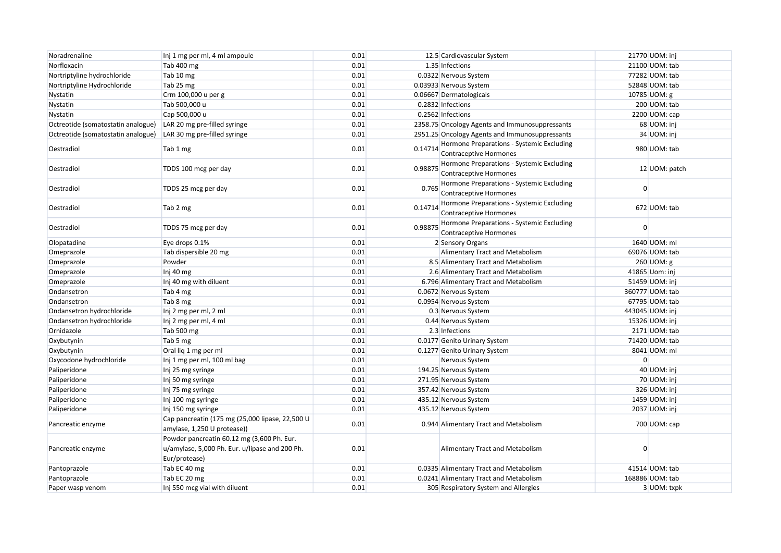| Noradrenaline                      | Inj 1 mg per ml, 4 ml ampoule                                                                                 | 0.01 |         | 12.5 Cardiovascular System                                                 |                | 21770 UOM: inj  |
|------------------------------------|---------------------------------------------------------------------------------------------------------------|------|---------|----------------------------------------------------------------------------|----------------|-----------------|
| Norfloxacin                        | Tab 400 mg                                                                                                    | 0.01 |         | 1.35 Infections                                                            |                | 21100 UOM: tab  |
| Nortriptyline hydrochloride        | Tab 10 mg                                                                                                     | 0.01 |         | 0.0322 Nervous System                                                      |                | 77282 UOM: tab  |
| Nortriptyline Hydrochloride        | Tab 25 mg                                                                                                     | 0.01 |         | 0.03933 Nervous System                                                     |                | 52848 UOM: tab  |
| Nystatin                           | Crm 100,000 u per g                                                                                           | 0.01 |         | 0.06667 Dermatologicals                                                    |                | 10785 UOM: g    |
| Nystatin                           | Tab 500,000 u                                                                                                 | 0.01 |         | 0.2832 Infections                                                          |                | 200 UOM: tab    |
| Nystatin                           | Cap 500,000 u                                                                                                 | 0.01 |         | 0.2562 Infections                                                          |                | 2200 UOM: cap   |
| Octreotide (somatostatin analogue) | LAR 20 mg pre-filled syringe                                                                                  | 0.01 |         | 2358.75 Oncology Agents and Immunosuppressants                             |                | 68 UOM: inj     |
| Octreotide (somatostatin analogue) | LAR 30 mg pre-filled syringe                                                                                  | 0.01 |         | 2951.25 Oncology Agents and Immunosuppressants                             |                | 34 UOM: inj     |
| Oestradiol                         | Tab 1 mg                                                                                                      | 0.01 | 0.14714 | Hormone Preparations - Systemic Excluding<br><b>Contraceptive Hormones</b> |                | 980 UOM: tab    |
| Oestradiol                         | TDDS 100 mcg per day                                                                                          | 0.01 | 0.98875 | Hormone Preparations - Systemic Excluding<br>Contraceptive Hormones        |                | 12 UOM: patch   |
| Oestradiol                         | TDDS 25 mcg per day                                                                                           | 0.01 | 0.765   | Hormone Preparations - Systemic Excluding<br><b>Contraceptive Hormones</b> | $\Omega$       |                 |
| Oestradiol                         | Tab 2 mg                                                                                                      | 0.01 | 0.14714 | Hormone Preparations - Systemic Excluding<br>Contraceptive Hormones        |                | 672 UOM: tab    |
| Oestradiol                         | TDDS 75 mcg per day                                                                                           | 0.01 | 0.98875 | Hormone Preparations - Systemic Excluding<br><b>Contraceptive Hormones</b> | $\Omega$       |                 |
| Olopatadine                        | Eye drops 0.1%                                                                                                | 0.01 |         | 2 Sensory Organs                                                           |                | 1640 UOM: ml    |
| Omeprazole                         | Tab dispersible 20 mg                                                                                         | 0.01 |         | Alimentary Tract and Metabolism                                            |                | 69076 UOM: tab  |
| Omeprazole                         | Powder                                                                                                        | 0.01 |         | 8.5 Alimentary Tract and Metabolism                                        |                | 260 UOM: g      |
| Omeprazole                         | Inj 40 mg                                                                                                     | 0.01 |         | 2.6 Alimentary Tract and Metabolism                                        |                | 41865 Uom: inj  |
| Omeprazole                         | Inj 40 mg with diluent                                                                                        | 0.01 |         | 6.796 Alimentary Tract and Metabolism                                      |                | 51459 UOM: inj  |
| Ondansetron                        | Tab 4 mg                                                                                                      | 0.01 |         | 0.0672 Nervous System                                                      |                | 360777 UOM: tab |
| Ondansetron                        | Tab 8 mg                                                                                                      | 0.01 |         | 0.0954 Nervous System                                                      |                | 67795 UOM: tab  |
| Ondansetron hydrochloride          | Inj 2 mg per ml, 2 ml                                                                                         | 0.01 |         | 0.3 Nervous System                                                         |                | 443045 UOM: inj |
| Ondansetron hydrochloride          | Inj 2 mg per ml, 4 ml                                                                                         | 0.01 |         | 0.44 Nervous System                                                        |                | 15326 UOM: inj  |
| Ornidazole                         | Tab 500 mg                                                                                                    | 0.01 |         | 2.3 Infections                                                             |                | 2171 UOM: tab   |
| Oxybutynin                         | Tab 5 mg                                                                                                      | 0.01 |         | 0.0177 Genito Urinary System                                               |                | 71420 UOM: tab  |
| Oxybutynin                         | Oral lig 1 mg per ml                                                                                          | 0.01 |         | 0.1277 Genito Urinary System                                               |                | 8041 UOM: ml    |
| Oxycodone hydrochloride            | Inj 1 mg per ml, 100 ml bag                                                                                   | 0.01 |         | Nervous System                                                             | $\overline{0}$ |                 |
| Paliperidone                       | Inj 25 mg syringe                                                                                             | 0.01 |         | 194.25 Nervous System                                                      |                | 40 UOM: inj     |
| Paliperidone                       | Inj 50 mg syringe                                                                                             | 0.01 |         | 271.95 Nervous System                                                      |                | 70 UOM: inj     |
| Paliperidone                       | Inj 75 mg syringe                                                                                             | 0.01 |         | 357.42 Nervous System                                                      |                | 326 UOM: inj    |
| Paliperidone                       | Inj 100 mg syringe                                                                                            | 0.01 |         | 435.12 Nervous System                                                      |                | 1459 UOM: inj   |
| Paliperidone                       | Inj 150 mg syringe                                                                                            | 0.01 |         | 435.12 Nervous System                                                      |                | 2037 UOM: inj   |
| Pancreatic enzyme                  | Cap pancreatin (175 mg (25,000 lipase, 22,500 U<br>amylase, 1,250 U protease))                                | 0.01 |         | 0.944 Alimentary Tract and Metabolism                                      |                | 700 UOM: cap    |
| Pancreatic enzyme                  | Powder pancreatin 60.12 mg (3,600 Ph. Eur.<br>u/amylase, 5,000 Ph. Eur. u/lipase and 200 Ph.<br>Eur/protease) | 0.01 |         | Alimentary Tract and Metabolism                                            |                |                 |
| Pantoprazole                       | Tab EC 40 mg                                                                                                  | 0.01 |         | 0.0335 Alimentary Tract and Metabolism                                     |                | 41514 UOM: tab  |
| Pantoprazole                       | Tab EC 20 mg                                                                                                  | 0.01 |         | 0.0241 Alimentary Tract and Metabolism                                     |                | 168886 UOM: tab |
| Paper wasp venom                   | Inj 550 mcg vial with diluent                                                                                 | 0.01 |         | 305 Respiratory System and Allergies                                       |                | 3 UOM: txpk     |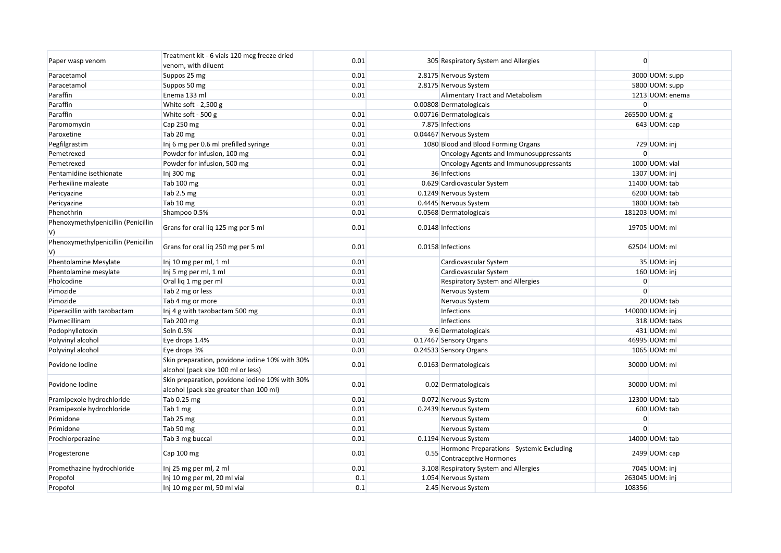| Paper wasp venom                          | Treatment kit - 6 vials 120 mcg freeze dried                                              | 0.01 |      | 305 Respiratory System and Allergies                                       | $\overline{0}$ |                 |
|-------------------------------------------|-------------------------------------------------------------------------------------------|------|------|----------------------------------------------------------------------------|----------------|-----------------|
|                                           | venom, with diluent                                                                       |      |      |                                                                            |                |                 |
| Paracetamol                               | Suppos 25 mg                                                                              | 0.01 |      | 2.8175 Nervous System                                                      |                | 3000 UOM: supp  |
| Paracetamol                               | Suppos 50 mg                                                                              | 0.01 |      | 2.8175 Nervous System                                                      |                | 5800 UOM: supp  |
| Paraffin                                  | Enema 133 ml                                                                              | 0.01 |      | <b>Alimentary Tract and Metabolism</b>                                     |                | 1213 UOM: enema |
| Paraffin                                  | White soft - $2,500$ g                                                                    |      |      | 0.00808 Dermatologicals                                                    | $\overline{0}$ |                 |
| Paraffin                                  | White soft - 500 g                                                                        | 0.01 |      | 0.00716 Dermatologicals                                                    |                | 265500 UOM: g   |
| Paromomycin                               | Cap 250 mg                                                                                | 0.01 |      | 7.875 Infections                                                           |                | 643 UOM: cap    |
| Paroxetine                                | Tab 20 mg                                                                                 | 0.01 |      | 0.04467 Nervous System                                                     |                |                 |
| Pegfilgrastim                             | Inj 6 mg per 0.6 ml prefilled syringe                                                     | 0.01 |      | 1080 Blood and Blood Forming Organs                                        |                | 729 UOM: inj    |
| Pemetrexed                                | Powder for infusion, 100 mg                                                               | 0.01 |      | Oncology Agents and Immunosuppressants                                     | $\overline{0}$ |                 |
| Pemetrexed                                | Powder for infusion, 500 mg                                                               | 0.01 |      | Oncology Agents and Immunosuppressants                                     |                | 1000 UOM: vial  |
| Pentamidine isethionate                   | Inj 300 mg                                                                                | 0.01 |      | 36 Infections                                                              |                | 1307 UOM: inj   |
| Perhexiline maleate                       | Tab 100 mg                                                                                | 0.01 |      | 0.629 Cardiovascular System                                                |                | 11400 UOM: tab  |
| Pericyazine                               | Tab 2.5 mg                                                                                | 0.01 |      | 0.1249 Nervous System                                                      |                | 6200 UOM: tab   |
| Pericyazine                               | Tab 10 mg                                                                                 | 0.01 |      | 0.4445 Nervous System                                                      |                | 1800 UOM: tab   |
| Phenothrin                                | Shampoo 0.5%                                                                              | 0.01 |      | 0.0568 Dermatologicals                                                     |                | 181203 UOM: ml  |
| Phenoxymethylpenicillin (Penicillin<br>V) | Grans for oral lig 125 mg per 5 ml                                                        | 0.01 |      | 0.0148 Infections                                                          |                | 19705 UOM: ml   |
| Phenoxymethylpenicillin (Penicillin<br>V) | Grans for oral liq 250 mg per 5 ml                                                        | 0.01 |      | 0.0158 Infections                                                          |                | 62504 UOM: ml   |
| Phentolamine Mesylate                     | Inj 10 mg per ml, 1 ml                                                                    | 0.01 |      | Cardiovascular System                                                      |                | 35 UOM: inj     |
| Phentolamine mesylate                     | Inj 5 mg per ml, 1 ml                                                                     | 0.01 |      | Cardiovascular System                                                      |                | 160 UOM: inj    |
| Pholcodine                                | Oral liq 1 mg per ml                                                                      | 0.01 |      | Respiratory System and Allergies                                           | $\overline{0}$ |                 |
| Pimozide                                  | Tab 2 mg or less                                                                          | 0.01 |      | Nervous System                                                             | $\Omega$       |                 |
| Pimozide                                  | Tab 4 mg or more                                                                          | 0.01 |      | Nervous System                                                             |                | 20 UOM: tab     |
| Piperacillin with tazobactam              | Inj 4 g with tazobactam 500 mg                                                            | 0.01 |      | Infections                                                                 |                | 140000 UOM: inj |
| Pivmecillinam                             | Tab 200 mg                                                                                | 0.01 |      | Infections                                                                 |                | 318 UOM: tabs   |
| Podophyllotoxin                           | Soln 0.5%                                                                                 | 0.01 |      | 9.6 Dermatologicals                                                        |                | 431 UOM: ml     |
| Polyvinyl alcohol                         | Eye drops 1.4%                                                                            | 0.01 |      | 0.17467 Sensory Organs                                                     |                | 46995 UOM: ml   |
| Polyvinyl alcohol                         | Eye drops 3%                                                                              | 0.01 |      | 0.24533 Sensory Organs                                                     |                | 1065 UOM: ml    |
| Povidone Iodine                           | Skin preparation, povidone iodine 10% with 30%<br>alcohol (pack size 100 ml or less)      | 0.01 |      | 0.0163 Dermatologicals                                                     |                | 30000 UOM: ml   |
| Povidone Iodine                           | Skin preparation, povidone iodine 10% with 30%<br>alcohol (pack size greater than 100 ml) | 0.01 |      | 0.02 Dermatologicals                                                       |                | 30000 UOM: ml   |
| Pramipexole hydrochloride                 | Tab 0.25 mg                                                                               | 0.01 |      | 0.072 Nervous System                                                       |                | 12300 UOM: tab  |
| Pramipexole hydrochloride                 | Tab 1 mg                                                                                  | 0.01 |      | 0.2439 Nervous System                                                      |                | 600 UOM: tab    |
| Primidone                                 | Tab 25 mg                                                                                 | 0.01 |      | Nervous System                                                             | $\overline{0}$ |                 |
| Primidone                                 | Tab 50 mg                                                                                 | 0.01 |      | Nervous System                                                             | $\Omega$       |                 |
| Prochlorperazine                          | Tab 3 mg buccal                                                                           | 0.01 |      | 0.1194 Nervous System                                                      |                | 14000 UOM: tab  |
| Progesterone                              | Cap 100 mg                                                                                | 0.01 | 0.55 | Hormone Preparations - Systemic Excluding<br><b>Contraceptive Hormones</b> |                | 2499 UOM: cap   |
| Promethazine hydrochloride                | Inj 25 mg per ml, 2 ml                                                                    | 0.01 |      | 3.108 Respiratory System and Allergies                                     |                | 7045 UOM: inj   |
| Propofol                                  | Inj 10 mg per ml, 20 ml vial                                                              | 0.1  |      | 1.054 Nervous System                                                       |                | 263045 UOM: inj |
| Propofol                                  | Inj 10 mg per ml, 50 ml vial                                                              | 0.1  |      | 2.45 Nervous System                                                        | 108356         |                 |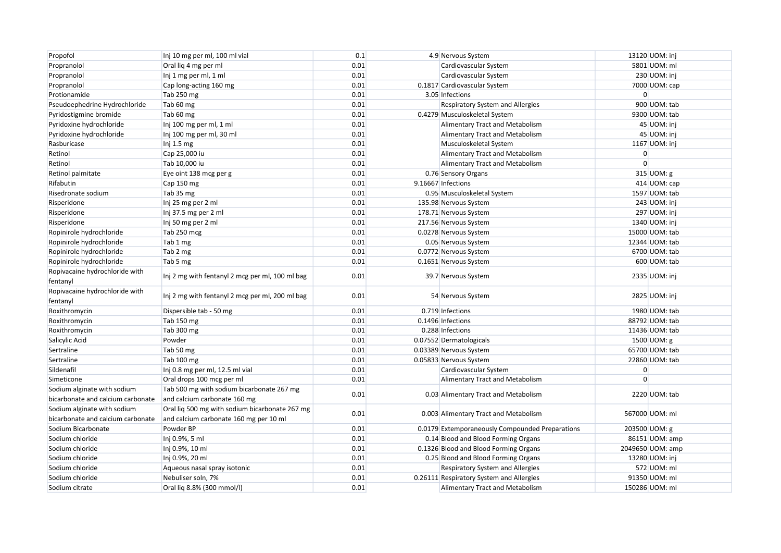| Propofol                                   | Inj 10 mg per ml, 100 ml vial                   | 0.1  | 4.9 Nervous System                              |                | 13120 UOM: inj   |
|--------------------------------------------|-------------------------------------------------|------|-------------------------------------------------|----------------|------------------|
| Propranolol                                | Oral liq 4 mg per ml                            | 0.01 | Cardiovascular System                           |                | 5801 UOM: ml     |
| Propranolol                                | Inj 1 mg per ml, 1 ml                           | 0.01 | Cardiovascular System                           |                | 230 UOM: inj     |
| Propranolol                                | Cap long-acting 160 mg                          | 0.01 | 0.1817 Cardiovascular System                    |                | 7000 UOM: cap    |
| Protionamide                               | Tab 250 mg                                      | 0.01 | 3.05 Infections                                 | $\overline{0}$ |                  |
| Pseudoephedrine Hydrochloride              | Tab 60 mg                                       | 0.01 | Respiratory System and Allergies                |                | 900 UOM: tab     |
| Pyridostigmine bromide                     | Tab 60 mg                                       | 0.01 | 0.4279 Musculoskeletal System                   |                | 9300 UOM: tab    |
| Pyridoxine hydrochloride                   | Inj 100 mg per ml, 1 ml                         | 0.01 | Alimentary Tract and Metabolism                 |                | 45 UOM: inj      |
| Pyridoxine hydrochloride                   | Inj 100 mg per ml, 30 ml                        | 0.01 | Alimentary Tract and Metabolism                 |                | 45 UOM: inj      |
| Rasburicase                                | Inj $1.5$ mg                                    | 0.01 | Musculoskeletal System                          |                | 1167 UOM: inj    |
| Retinol                                    | Cap 25,000 iu                                   | 0.01 | Alimentary Tract and Metabolism                 | $\overline{0}$ |                  |
| Retinol                                    | Tab 10,000 iu                                   | 0.01 | Alimentary Tract and Metabolism                 | $\Omega$       |                  |
| Retinol palmitate                          | Eye oint 138 mcg per g                          | 0.01 | 0.76 Sensory Organs                             |                | 315 UOM: g       |
| Rifabutin                                  | Cap 150 mg                                      | 0.01 | 9.16667 Infections                              |                | 414 UOM: cap     |
| Risedronate sodium                         | Tab 35 mg                                       | 0.01 | 0.95 Musculoskeletal System                     |                | 1597 UOM: tab    |
| Risperidone                                | Inj 25 mg per 2 ml                              | 0.01 | 135.98 Nervous System                           |                | 243 UOM: inj     |
| Risperidone                                | Inj 37.5 mg per 2 ml                            | 0.01 | 178.71 Nervous System                           |                | 297 UOM: inj     |
| Risperidone                                | Inj 50 mg per 2 ml                              | 0.01 | 217.56 Nervous System                           |                | 1340 UOM: inj    |
| Ropinirole hydrochloride                   | Tab 250 mcg                                     | 0.01 | 0.0278 Nervous System                           |                | 15000 UOM: tab   |
| Ropinirole hydrochloride                   | Tab 1 mg                                        | 0.01 | 0.05 Nervous System                             |                | 12344 UOM: tab   |
| Ropinirole hydrochloride                   | Tab 2 mg                                        | 0.01 | 0.0772 Nervous System                           |                | 6700 UOM: tab    |
| Ropinirole hydrochloride                   | Tab 5 mg                                        | 0.01 | 0.1651 Nervous System                           |                | 600 UOM: tab     |
| Ropivacaine hydrochloride with<br>fentanyl | Inj 2 mg with fentanyl 2 mcg per ml, 100 ml bag | 0.01 | 39.7 Nervous System                             |                | 2335 UOM: inj    |
| Ropivacaine hydrochloride with<br>fentanyl | Inj 2 mg with fentanyl 2 mcg per ml, 200 ml bag | 0.01 | 54 Nervous System                               |                | 2825 UOM: inj    |
| Roxithromycin                              | Dispersible tab - 50 mg                         | 0.01 | 0.719 Infections                                |                | 1980 UOM: tab    |
| Roxithromycin                              | Tab 150 mg                                      | 0.01 | 0.1496 Infections                               |                | 88792 UOM: tab   |
| Roxithromycin                              | Tab 300 mg                                      | 0.01 | 0.288 Infections                                |                | 11436 UOM: tab   |
| Salicylic Acid                             | Powder                                          | 0.01 | 0.07552 Dermatologicals                         |                | 1500 UOM: g      |
| Sertraline                                 | Tab 50 mg                                       | 0.01 | 0.03389 Nervous System                          |                | 65700 UOM: tab   |
| Sertraline                                 | Tab 100 mg                                      | 0.01 | 0.05833 Nervous System                          |                | 22860 UOM: tab   |
| Sildenafil                                 | Inj 0.8 mg per ml, 12.5 ml vial                 | 0.01 | Cardiovascular System                           | $\overline{0}$ |                  |
| Simeticone                                 | Oral drops 100 mcg per ml                       | 0.01 | Alimentary Tract and Metabolism                 | $\Omega$       |                  |
| Sodium alginate with sodium                | Tab 500 mg with sodium bicarbonate 267 mg       |      | 0.03 Alimentary Tract and Metabolism            |                | 2220 UOM: tab    |
| bicarbonate and calcium carbonate          | and calcium carbonate 160 mg                    | 0.01 |                                                 |                |                  |
| Sodium alginate with sodium                | Oral lig 500 mg with sodium bicarbonate 267 mg  |      | 0.003 Alimentary Tract and Metabolism           |                | 567000 UOM: ml   |
| bicarbonate and calcium carbonate          | and calcium carbonate 160 mg per 10 ml          | 0.01 |                                                 |                |                  |
| Sodium Bicarbonate                         | Powder BP                                       | 0.01 | 0.0179 Extemporaneously Compounded Preparations |                | 203500 UOM: g    |
| Sodium chloride                            | Inj 0.9%, 5 ml                                  | 0.01 | 0.14 Blood and Blood Forming Organs             |                | 86151 UOM: amp   |
| Sodium chloride                            | Inj 0.9%, 10 ml                                 | 0.01 | 0.1326 Blood and Blood Forming Organs           |                | 2049650 UOM: amp |
| Sodium chloride                            | Inj 0.9%, 20 ml                                 | 0.01 | 0.25 Blood and Blood Forming Organs             |                | 13280 UOM: inj   |
| Sodium chloride                            | Aqueous nasal spray isotonic                    | 0.01 | Respiratory System and Allergies                |                | 572 UOM: ml      |
| Sodium chloride                            | Nebuliser soln, 7%                              | 0.01 | 0.26111 Respiratory System and Allergies        |                | 91350 UOM: ml    |
| Sodium citrate                             | Oral lig 8.8% (300 mmol/l)                      | 0.01 | <b>Alimentary Tract and Metabolism</b>          |                | 150286 UOM: ml   |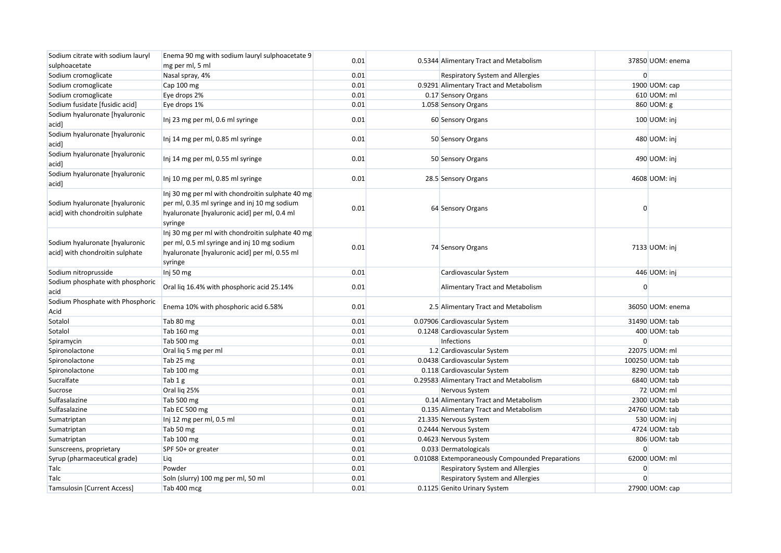| Sodium citrate with sodium lauryl                                 | Enema 90 mg with sodium lauryl sulphoacetate 9                                                                                                              |      |                                                  |                |                  |
|-------------------------------------------------------------------|-------------------------------------------------------------------------------------------------------------------------------------------------------------|------|--------------------------------------------------|----------------|------------------|
| sulphoacetate                                                     | mg per ml, 5 ml                                                                                                                                             | 0.01 | 0.5344 Alimentary Tract and Metabolism           |                | 37850 UOM: enema |
| Sodium cromoglicate                                               | Nasal spray, 4%                                                                                                                                             | 0.01 | <b>Respiratory System and Allergies</b>          | $\overline{0}$ |                  |
| Sodium cromoglicate                                               | Cap 100 mg                                                                                                                                                  | 0.01 | 0.9291 Alimentary Tract and Metabolism           |                | 1900 UOM: cap    |
| Sodium cromoglicate                                               | Eye drops 2%                                                                                                                                                | 0.01 | 0.17 Sensory Organs                              |                | 610 UOM: ml      |
| Sodium fusidate [fusidic acid]                                    | Eye drops 1%                                                                                                                                                | 0.01 | 1.058 Sensory Organs                             |                | 860 UOM: g       |
| Sodium hyaluronate [hyaluronic<br>acid]                           | Inj 23 mg per ml, 0.6 ml syringe                                                                                                                            | 0.01 | 60 Sensory Organs                                |                | 100 UOM: inj     |
| Sodium hyaluronate [hyaluronic<br>acid]                           | Inj 14 mg per ml, 0.85 ml syringe                                                                                                                           | 0.01 | 50 Sensory Organs                                |                | 480 UOM: inj     |
| Sodium hyaluronate [hyaluronic<br>acid]                           | Inj 14 mg per ml, 0.55 ml syringe                                                                                                                           | 0.01 | 50 Sensory Organs                                |                | 490 UOM: inj     |
| Sodium hyaluronate [hyaluronic<br>acid]                           | Inj 10 mg per ml, 0.85 ml syringe                                                                                                                           | 0.01 | 28.5 Sensory Organs                              |                | 4608 UOM: inj    |
| Sodium hyaluronate [hyaluronic<br>acid] with chondroitin sulphate | Inj 30 mg per ml with chondroitin sulphate 40 mg<br>per ml, 0.35 ml syringe and inj 10 mg sodium<br>hyaluronate [hyaluronic acid] per ml, 0.4 ml<br>syringe | 0.01 | 64 Sensory Organs                                | $\Omega$       |                  |
| Sodium hyaluronate [hyaluronic<br>acid] with chondroitin sulphate | Inj 30 mg per ml with chondroitin sulphate 40 mg<br>per ml, 0.5 ml syringe and inj 10 mg sodium<br>hyaluronate [hyaluronic acid] per ml, 0.55 ml<br>syringe | 0.01 | 74 Sensory Organs                                |                | 7133 UOM: inj    |
| Sodium nitroprusside                                              | Inj 50 mg                                                                                                                                                   | 0.01 | Cardiovascular System                            |                | 446 UOM: inj     |
| Sodium phosphate with phosphoric<br>acid                          | Oral lig 16.4% with phosphoric acid 25.14%                                                                                                                  | 0.01 | Alimentary Tract and Metabolism                  | $\Omega$       |                  |
| Sodium Phosphate with Phosphoric<br>Acid                          | Enema 10% with phosphoric acid 6.58%                                                                                                                        | 0.01 | 2.5 Alimentary Tract and Metabolism              |                | 36050 UOM: enema |
| Sotalol                                                           | Tab 80 mg                                                                                                                                                   | 0.01 | 0.07906 Cardiovascular System                    |                | 31490 UOM: tab   |
| Sotalol                                                           | Tab 160 mg                                                                                                                                                  | 0.01 | 0.1248 Cardiovascular System                     |                | 400 UOM: tab     |
| Spiramycin                                                        | Tab 500 mg                                                                                                                                                  | 0.01 | Infections                                       | $\Omega$       |                  |
| Spironolactone                                                    | Oral lig 5 mg per ml                                                                                                                                        | 0.01 | 1.2 Cardiovascular System                        |                | 22075 UOM: ml    |
| Spironolactone                                                    | Tab 25 mg                                                                                                                                                   | 0.01 | 0.0438 Cardiovascular System                     |                | 100250 UOM: tab  |
| Spironolactone                                                    | Tab 100 mg                                                                                                                                                  | 0.01 | 0.118 Cardiovascular System                      |                | 8290 UOM: tab    |
| Sucralfate                                                        | Tab 1 g                                                                                                                                                     | 0.01 | 0.29583 Alimentary Tract and Metabolism          |                | 6840 UOM: tab    |
| Sucrose                                                           | Oral lig 25%                                                                                                                                                | 0.01 | Nervous System                                   |                | 72 UOM: ml       |
| Sulfasalazine                                                     | Tab 500 mg                                                                                                                                                  | 0.01 | 0.14 Alimentary Tract and Metabolism             |                | 2300 UOM: tab    |
| Sulfasalazine                                                     | Tab EC 500 mg                                                                                                                                               | 0.01 | 0.135 Alimentary Tract and Metabolism            |                | 24760 UOM: tab   |
| Sumatriptan                                                       | Inj 12 mg per ml, 0.5 ml                                                                                                                                    | 0.01 | 21.335 Nervous System                            |                | 530 UOM: inj     |
| Sumatriptan                                                       | Tab 50 mg                                                                                                                                                   | 0.01 | 0.2444 Nervous System                            |                | 4724 UOM: tab    |
| Sumatriptan                                                       | Tab 100 mg                                                                                                                                                  | 0.01 | 0.4623 Nervous System                            |                | 806 UOM: tab     |
| Sunscreens, proprietary                                           | SPF 50+ or greater                                                                                                                                          | 0.01 | 0.033 Dermatologicals                            | $\Omega$       |                  |
| Syrup (pharmaceutical grade)                                      | Liq                                                                                                                                                         | 0.01 | 0.01088 Extemporaneously Compounded Preparations |                | 62000 UOM: ml    |
| Talc                                                              | Powder                                                                                                                                                      | 0.01 | Respiratory System and Allergies                 | $\overline{0}$ |                  |
| Talc                                                              | Soln (slurry) 100 mg per ml, 50 ml                                                                                                                          | 0.01 | Respiratory System and Allergies                 | $\Omega$       |                  |
| <b>Tamsulosin [Current Access]</b>                                | Tab 400 mcg                                                                                                                                                 | 0.01 | 0.1125 Genito Urinary System                     |                | 27900 UOM: cap   |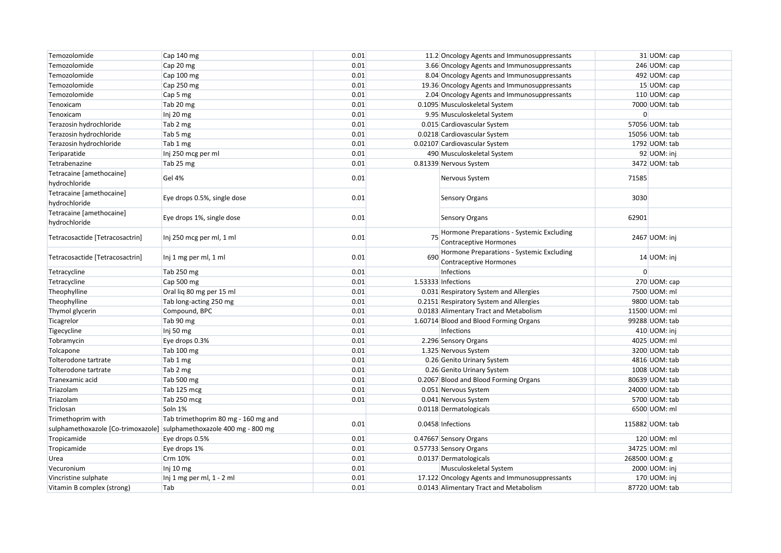| Temozolomide                              | Cap 140 mg                          | 0.01 |     | 11.2 Oncology Agents and Immunosuppressants                                   |          | 31 UOM: cap     |
|-------------------------------------------|-------------------------------------|------|-----|-------------------------------------------------------------------------------|----------|-----------------|
| Temozolomide                              | Cap 20 mg                           | 0.01 |     | 3.66 Oncology Agents and Immunosuppressants                                   |          | 246 UOM: cap    |
| Temozolomide                              | Cap 100 mg                          | 0.01 |     | 8.04 Oncology Agents and Immunosuppressants                                   |          | 492 UOM: cap    |
| Temozolomide                              | Cap 250 mg                          | 0.01 |     | 19.36 Oncology Agents and Immunosuppressants                                  |          | 15 UOM: cap     |
| Temozolomide                              | Cap 5 mg                            | 0.01 |     | 2.04 Oncology Agents and Immunosuppressants                                   |          | 110 UOM: cap    |
| Tenoxicam                                 | Tab 20 mg                           | 0.01 |     | 0.1095 Musculoskeletal System                                                 |          | 7000 UOM: tab   |
| Tenoxicam                                 | Inj 20 mg                           | 0.01 |     | 9.95 Musculoskeletal System                                                   | $\Omega$ |                 |
| Terazosin hydrochloride                   | Tab 2 mg                            | 0.01 |     | 0.015 Cardiovascular System                                                   |          | 57056 UOM: tab  |
| Terazosin hydrochloride                   | Tab 5 mg                            | 0.01 |     | 0.0218 Cardiovascular System                                                  |          | 15056 UOM: tab  |
| Terazosin hydrochloride                   | Tab 1 mg                            | 0.01 |     | 0.02107 Cardiovascular System                                                 |          | 1792 UOM: tab   |
| Teriparatide                              | Inj 250 mcg per ml                  | 0.01 |     | 490 Musculoskeletal System                                                    |          | 92 UOM: inj     |
| Tetrabenazine                             | Tab 25 mg                           | 0.01 |     | 0.81339 Nervous System                                                        |          | 3472 UOM: tab   |
| Tetracaine [amethocaine]<br>hydrochloride | Gel 4%                              | 0.01 |     | Nervous System                                                                | 71585    |                 |
| Tetracaine [amethocaine]<br>hydrochloride | Eye drops 0.5%, single dose         | 0.01 |     | Sensory Organs                                                                | 3030     |                 |
| Tetracaine [amethocaine]<br>hydrochloride | Eye drops 1%, single dose           | 0.01 |     | <b>Sensory Organs</b>                                                         | 62901    |                 |
| Tetracosactide [Tetracosactrin]           | Inj 250 mcg per ml, 1 ml            | 0.01 |     | 75 Hormone Preparations - Systemic Excluding<br><b>Contraceptive Hormones</b> |          | 2467 UOM: inj   |
| Tetracosactide [Tetracosactrin]           | Inj 1 mg per ml, 1 ml               | 0.01 | 690 | Hormone Preparations - Systemic Excluding<br>Contraceptive Hormones           |          | 14 UOM: inj     |
| Tetracycline                              | Tab 250 mg                          | 0.01 |     | Infections                                                                    | $\Omega$ |                 |
| Tetracycline                              | Cap 500 mg                          | 0.01 |     | 1.53333 Infections                                                            |          | 270 UOM: cap    |
| Theophylline                              | Oral lig 80 mg per 15 ml            | 0.01 |     | 0.031 Respiratory System and Allergies                                        |          | 7500 UOM: ml    |
| Theophylline                              | Tab long-acting 250 mg              | 0.01 |     | 0.2151 Respiratory System and Allergies                                       |          | 9800 UOM: tab   |
| Thymol glycerin                           | Compound, BPC                       | 0.01 |     | 0.0183 Alimentary Tract and Metabolism                                        |          | 11500 UOM: ml   |
| Ticagrelor                                | Tab 90 mg                           | 0.01 |     | 1.60714 Blood and Blood Forming Organs                                        |          | 99288 UOM: tab  |
| Tigecycline                               | Inj 50 mg                           | 0.01 |     | Infections                                                                    |          | 410 UOM: inj    |
| Tobramycin                                | Eye drops 0.3%                      | 0.01 |     | 2.296 Sensory Organs                                                          |          | 4025 UOM: ml    |
| Tolcapone                                 | Tab 100 mg                          | 0.01 |     | 1.325 Nervous System                                                          |          | 3200 UOM: tab   |
| Tolterodone tartrate                      | Tab 1 mg                            | 0.01 |     | 0.26 Genito Urinary System                                                    |          | 4816 UOM: tab   |
| Tolterodone tartrate                      | Tab 2 mg                            | 0.01 |     | 0.26 Genito Urinary System                                                    |          | 1008 UOM: tab   |
| Tranexamic acid                           | Tab 500 mg                          | 0.01 |     | 0.2067 Blood and Blood Forming Organs                                         |          | 80639 UOM: tab  |
| Triazolam                                 | Tab 125 mcg                         | 0.01 |     | 0.051 Nervous System                                                          |          | 24000 UOM: tab  |
| Triazolam                                 | Tab 250 mcg                         | 0.01 |     | 0.041 Nervous System                                                          |          | 5700 UOM: tab   |
| Triclosan                                 | Soln 1%                             |      |     | 0.0118 Dermatologicals                                                        |          | 6500 UOM: ml    |
| Trimethoprim with                         | Tab trimethoprim 80 mg - 160 mg and | 0.01 |     | 0.0458 Infections                                                             |          | 115882 UOM: tab |
| sulphamethoxazole [Co-trimoxazole]        | sulphamethoxazole 400 mg - 800 mg   |      |     |                                                                               |          |                 |
| Tropicamide                               | Eye drops 0.5%                      | 0.01 |     | 0.47667 Sensory Organs                                                        |          | 120 UOM: ml     |
| Tropicamide                               | Eye drops 1%                        | 0.01 |     | 0.57733 Sensory Organs                                                        |          | 34725 UOM: ml   |
| Urea                                      | Crm 10%                             | 0.01 |     | 0.0137 Dermatologicals                                                        |          | 268500 UOM: g   |
| Vecuronium                                | Inj 10 mg                           | 0.01 |     | Musculoskeletal System                                                        |          | 2000 UOM: inj   |
| Vincristine sulphate                      | Inj 1 mg per ml, 1 - 2 ml           | 0.01 |     | 17.122 Oncology Agents and Immunosuppressants                                 |          | 170 UOM: inj    |
| Vitamin B complex (strong)                | Tab                                 | 0.01 |     | 0.0143 Alimentary Tract and Metabolism                                        |          | 87720 UOM: tab  |